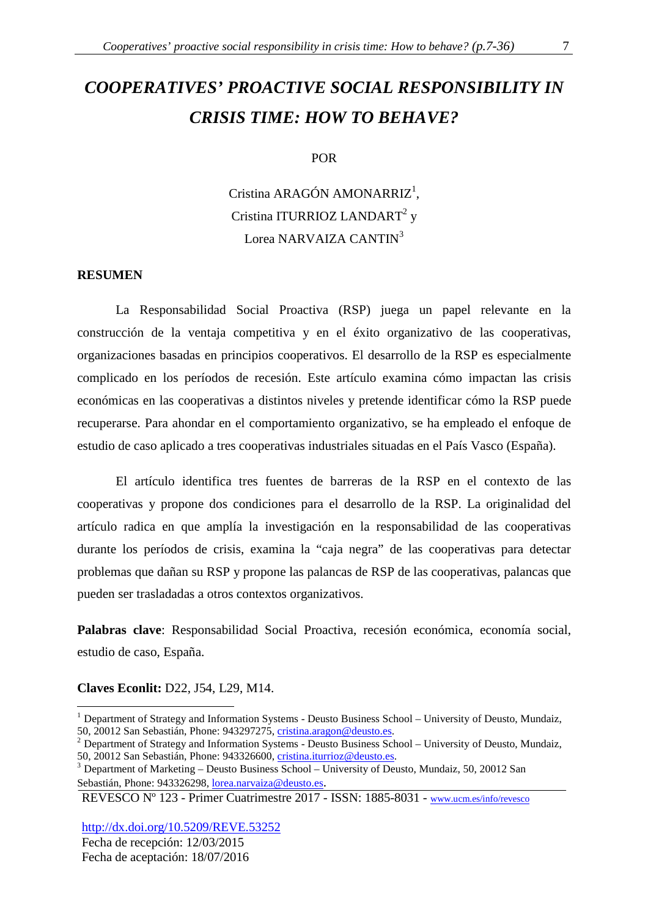# *COOPERATIVES' PROACTIVE SOCIAL RESPONSIBILITY IN CRISIS TIME: HOW TO BEHAVE?*

POR

Cristina ARAGÓN AMONARRIZ<sup>1</sup>, Cristina ITURRIOZ LANDART<sup>2</sup> y Lorea NARVAIZA CANTIN<sup>3</sup>

## **RESUMEN**

 La Responsabilidad Social Proactiva (RSP) juega un papel relevante en la construcción de la ventaja competitiva y en el éxito organizativo de las cooperativas, organizaciones basadas en principios cooperativos. El desarrollo de la RSP es especialmente complicado en los períodos de recesión. Este artículo examina cómo impactan las crisis económicas en las cooperativas a distintos niveles y pretende identificar cómo la RSP puede recuperarse. Para ahondar en el comportamiento organizativo, se ha empleado el enfoque de estudio de caso aplicado a tres cooperativas industriales situadas en el País Vasco (España).

 El artículo identifica tres fuentes de barreras de la RSP en el contexto de las cooperativas y propone dos condiciones para el desarrollo de la RSP. La originalidad del artículo radica en que amplía la investigación en la responsabilidad de las cooperativas durante los períodos de crisis, examina la "caja negra" de las cooperativas para detectar problemas que dañan su RSP y propone las palancas de RSP de las cooperativas, palancas que pueden ser trasladadas a otros contextos organizativos.

**Palabras clave**: Responsabilidad Social Proactiva, recesión económica, economía social, estudio de caso, España.

## **Claves Econlit:** D22, J54, L29, M14.

 $\overline{a}$ 

http://dx.doi.org/10.5209/REVE.53252

Fecha de recepción: 12/03/2015 Fecha de aceptación: 18/07/2016

<sup>&</sup>lt;sup>1</sup> Department of Strategy and Information Systems - Deusto Business School – University of Deusto, Mundaiz, 50, 20012 San Sebastián, Phone: 943297275, cristina.aragon@deusto.es.

<sup>&</sup>lt;sup>2</sup> Department of Strategy and Information Systems - Deusto Business School – University of Deusto, Mundaiz, 50, 20012 San Sebastián, Phone: 943326600, cristina.iturrioz@deusto.es.

<sup>&</sup>lt;sup>3</sup> Department of Marketing – Deusto Business School – University of Deusto, Mundaiz, 50, 20012 San Sebastián, Phone: 943326298, lorea.narvaiza@deusto.es.

REVESCO Nº 123 - Primer Cuatrimestre 2017 - ISSN: 1885-8031 - www.ucm.es/info/revesco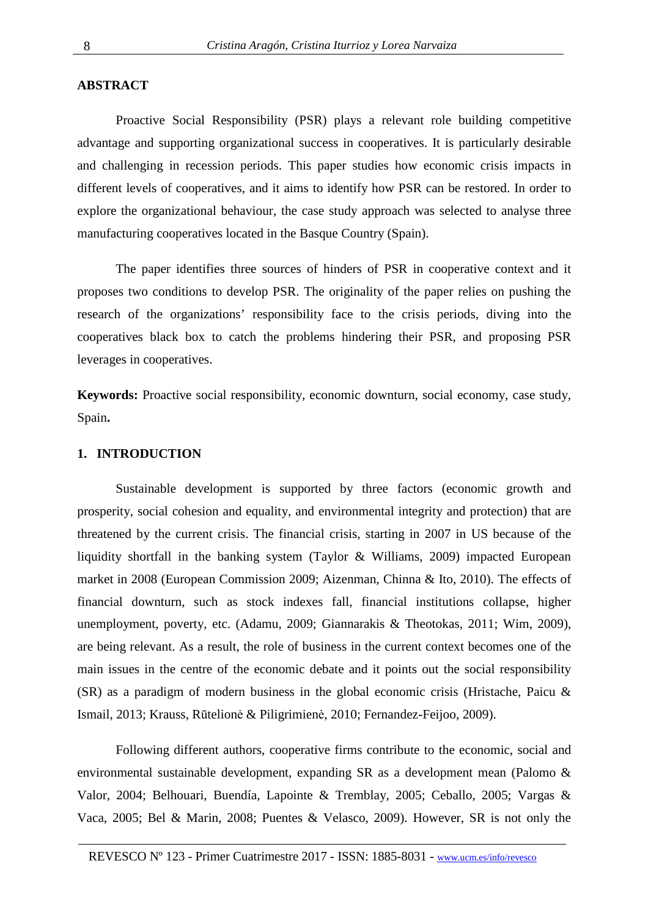## **ABSTRACT**

 Proactive Social Responsibility (PSR) plays a relevant role building competitive advantage and supporting organizational success in cooperatives. It is particularly desirable and challenging in recession periods. This paper studies how economic crisis impacts in different levels of cooperatives, and it aims to identify how PSR can be restored. In order to explore the organizational behaviour, the case study approach was selected to analyse three manufacturing cooperatives located in the Basque Country (Spain).

 The paper identifies three sources of hinders of PSR in cooperative context and it proposes two conditions to develop PSR. The originality of the paper relies on pushing the research of the organizations' responsibility face to the crisis periods, diving into the cooperatives black box to catch the problems hindering their PSR, and proposing PSR leverages in cooperatives.

**Keywords:** Proactive social responsibility, economic downturn, social economy, case study, Spain**.** 

#### **1. INTRODUCTION**

 Sustainable development is supported by three factors (economic growth and prosperity, social cohesion and equality, and environmental integrity and protection) that are threatened by the current crisis. The financial crisis, starting in 2007 in US because of the liquidity shortfall in the banking system (Taylor & Williams, 2009) impacted European market in 2008 (European Commission 2009; Aizenman, Chinna & Ito, 2010). The effects of financial downturn, such as stock indexes fall, financial institutions collapse, higher unemployment, poverty, etc. (Adamu, 2009; Giannarakis & Theotokas, 2011; Wim, 2009), are being relevant. As a result, the role of business in the current context becomes one of the main issues in the centre of the economic debate and it points out the social responsibility (SR) as a paradigm of modern business in the global economic crisis (Hristache, Paicu & Ismail, 2013; Krauss, Rūtelionė & Piligrimienė, 2010; Fernandez-Feijoo, 2009).

 Following different authors, cooperative firms contribute to the economic, social and environmental sustainable development, expanding SR as a development mean (Palomo & Valor, 2004; Belhouari, Buendía, Lapointe & Tremblay, 2005; Ceballo, 2005; Vargas & Vaca, 2005; Bel & Marin, 2008; Puentes & Velasco, 2009). However, SR is not only the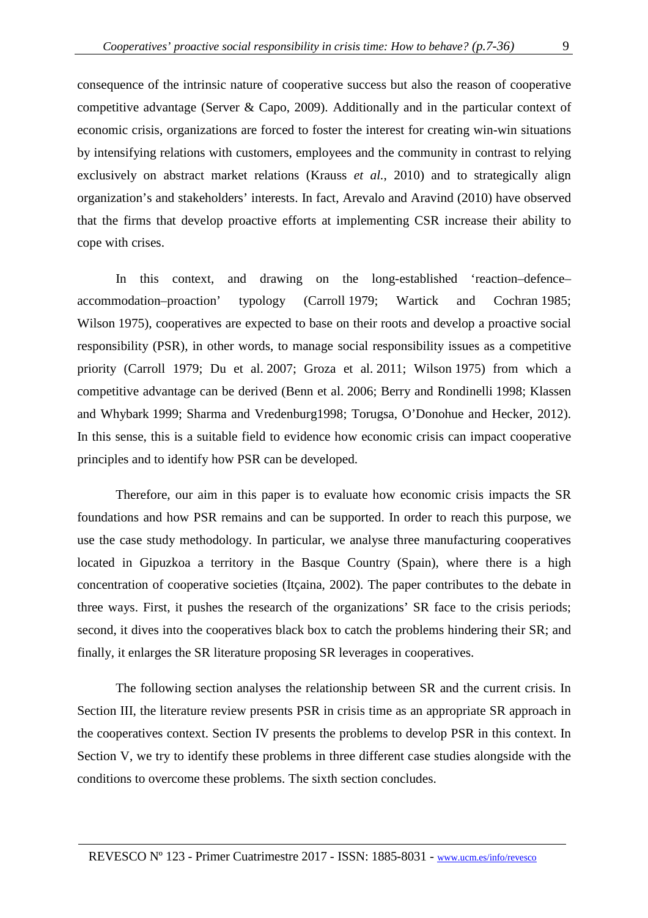consequence of the intrinsic nature of cooperative success but also the reason of cooperative competitive advantage (Server & Capo, 2009). Additionally and in the particular context of economic crisis, organizations are forced to foster the interest for creating win-win situations by intensifying relations with customers, employees and the community in contrast to relying exclusively on abstract market relations (Krauss *et al.*, 2010) and to strategically align organization's and stakeholders' interests. In fact, Arevalo and Aravind (2010) have observed that the firms that develop proactive efforts at implementing CSR increase their ability to cope with crises.

 In this context, and drawing on the long-established 'reaction–defence– accommodation–proaction' typology (Carroll 1979; Wartick and Cochran 1985; Wilson 1975), cooperatives are expected to base on their roots and develop a proactive social responsibility (PSR), in other words, to manage social responsibility issues as a competitive priority (Carroll 1979; Du et al. 2007; Groza et al. 2011; Wilson 1975) from which a competitive advantage can be derived (Benn et al. 2006; Berry and Rondinelli 1998; Klassen and Whybark 1999; Sharma and Vredenburg1998; Torugsa, O'Donohue and Hecker, 2012). In this sense, this is a suitable field to evidence how economic crisis can impact cooperative principles and to identify how PSR can be developed.

 Therefore, our aim in this paper is to evaluate how economic crisis impacts the SR foundations and how PSR remains and can be supported. In order to reach this purpose, we use the case study methodology. In particular, we analyse three manufacturing cooperatives located in Gipuzkoa a territory in the Basque Country (Spain), where there is a high concentration of cooperative societies (Itçaina, 2002). The paper contributes to the debate in three ways. First, it pushes the research of the organizations' SR face to the crisis periods; second, it dives into the cooperatives black box to catch the problems hindering their SR; and finally, it enlarges the SR literature proposing SR leverages in cooperatives.

 The following section analyses the relationship between SR and the current crisis. In Section III, the literature review presents PSR in crisis time as an appropriate SR approach in the cooperatives context. Section IV presents the problems to develop PSR in this context. In Section V, we try to identify these problems in three different case studies alongside with the conditions to overcome these problems. The sixth section concludes.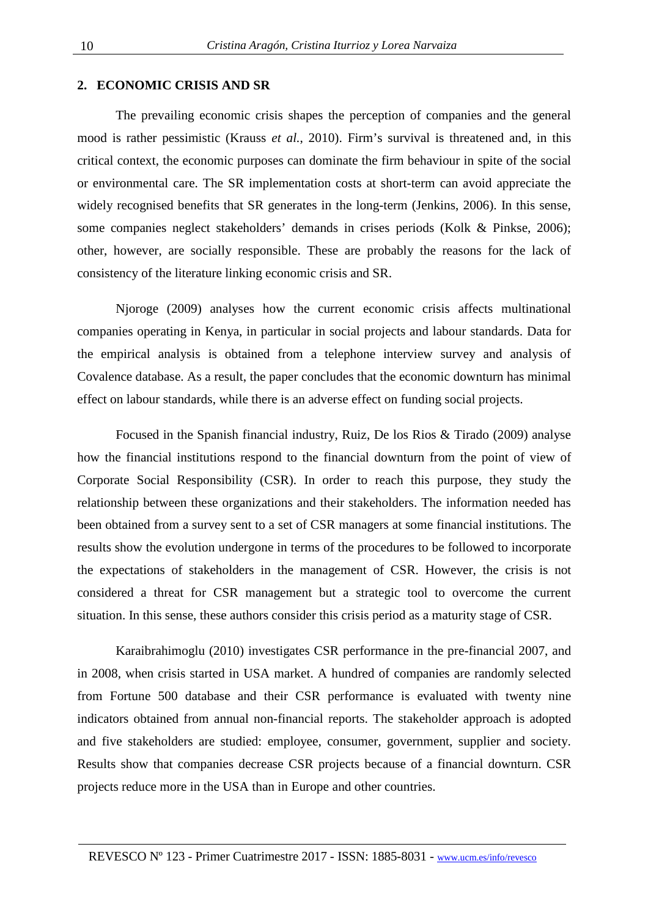## **2. ECONOMIC CRISIS AND SR**

 The prevailing economic crisis shapes the perception of companies and the general mood is rather pessimistic (Krauss *et al.*, 2010). Firm's survival is threatened and, in this critical context, the economic purposes can dominate the firm behaviour in spite of the social or environmental care. The SR implementation costs at short-term can avoid appreciate the widely recognised benefits that SR generates in the long-term (Jenkins, 2006). In this sense, some companies neglect stakeholders' demands in crises periods (Kolk & Pinkse, 2006); other, however, are socially responsible. These are probably the reasons for the lack of consistency of the literature linking economic crisis and SR.

 Njoroge (2009) analyses how the current economic crisis affects multinational companies operating in Kenya, in particular in social projects and labour standards. Data for the empirical analysis is obtained from a telephone interview survey and analysis of Covalence database. As a result, the paper concludes that the economic downturn has minimal effect on labour standards, while there is an adverse effect on funding social projects.

 Focused in the Spanish financial industry, Ruiz, De los Rios & Tirado (2009) analyse how the financial institutions respond to the financial downturn from the point of view of Corporate Social Responsibility (CSR). In order to reach this purpose, they study the relationship between these organizations and their stakeholders. The information needed has been obtained from a survey sent to a set of CSR managers at some financial institutions. The results show the evolution undergone in terms of the procedures to be followed to incorporate the expectations of stakeholders in the management of CSR. However, the crisis is not considered a threat for CSR management but a strategic tool to overcome the current situation. In this sense, these authors consider this crisis period as a maturity stage of CSR.

 Karaibrahimoglu (2010) investigates CSR performance in the pre-financial 2007, and in 2008, when crisis started in USA market. A hundred of companies are randomly selected from Fortune 500 database and their CSR performance is evaluated with twenty nine indicators obtained from annual non-financial reports. The stakeholder approach is adopted and five stakeholders are studied: employee, consumer, government, supplier and society. Results show that companies decrease CSR projects because of a financial downturn. CSR projects reduce more in the USA than in Europe and other countries.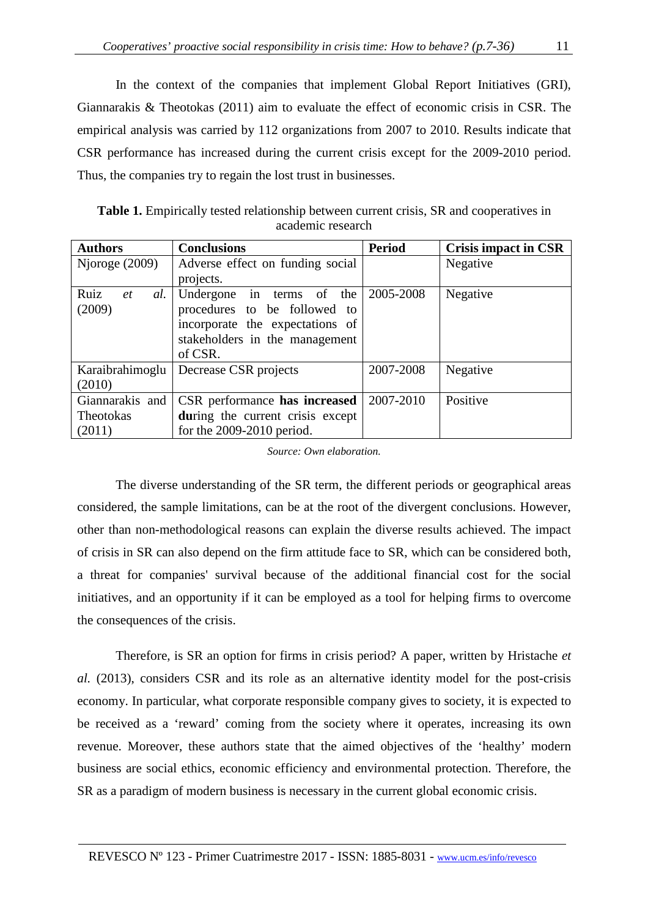In the context of the companies that implement Global Report Initiatives (GRI), Giannarakis & Theotokas (2011) aim to evaluate the effect of economic crisis in CSR. The empirical analysis was carried by 112 organizations from 2007 to 2010. Results indicate that CSR performance has increased during the current crisis except for the 2009-2010 period. Thus, the companies try to regain the lost trust in businesses.

| Authors                                                                                                             | <b>Conclusions</b> | <b>Period</b> | <b>Crisis impact in CSR</b> |
|---------------------------------------------------------------------------------------------------------------------|--------------------|---------------|-----------------------------|
| <b>Table 1.</b> Empirically tested relationship between current crisis, SR and cooperatives in<br>academic research |                    |               |                             |

| <b>Authors</b>    | <b>Conclusions</b>               | Period    | Crisis impact in CSR |
|-------------------|----------------------------------|-----------|----------------------|
| Njoroge $(2009)$  | Adverse effect on funding social |           | Negative             |
|                   | projects.                        |           |                      |
| Ruiz<br>al.<br>et | Undergone in terms of the        | 2005-2008 | Negative             |
| (2009)            | procedures to be followed to     |           |                      |
|                   | incorporate the expectations of  |           |                      |
|                   | stakeholders in the management   |           |                      |
|                   | of CSR.                          |           |                      |
| Karaibrahimoglu   | Decrease CSR projects            | 2007-2008 | Negative             |
| (2010)            |                                  |           |                      |
| Giannarakis and   | CSR performance has increased    | 2007-2010 | Positive             |
| Theotokas         | during the current crisis except |           |                      |
| (2011)            | for the $2009-2010$ period.      |           |                      |

#### *Source: Own elaboration.*

 The diverse understanding of the SR term, the different periods or geographical areas considered, the sample limitations, can be at the root of the divergent conclusions. However, other than non-methodological reasons can explain the diverse results achieved. The impact of crisis in SR can also depend on the firm attitude face to SR, which can be considered both, a threat for companies' survival because of the additional financial cost for the social initiatives, and an opportunity if it can be employed as a tool for helping firms to overcome the consequences of the crisis.

 Therefore, is SR an option for firms in crisis period? A paper, written by Hristache *et al.* (2013), considers CSR and its role as an alternative identity model for the post-crisis economy. In particular, what corporate responsible company gives to society, it is expected to be received as a 'reward' coming from the society where it operates, increasing its own revenue. Moreover, these authors state that the aimed objectives of the 'healthy' modern business are social ethics, economic efficiency and environmental protection. Therefore, the SR as a paradigm of modern business is necessary in the current global economic crisis.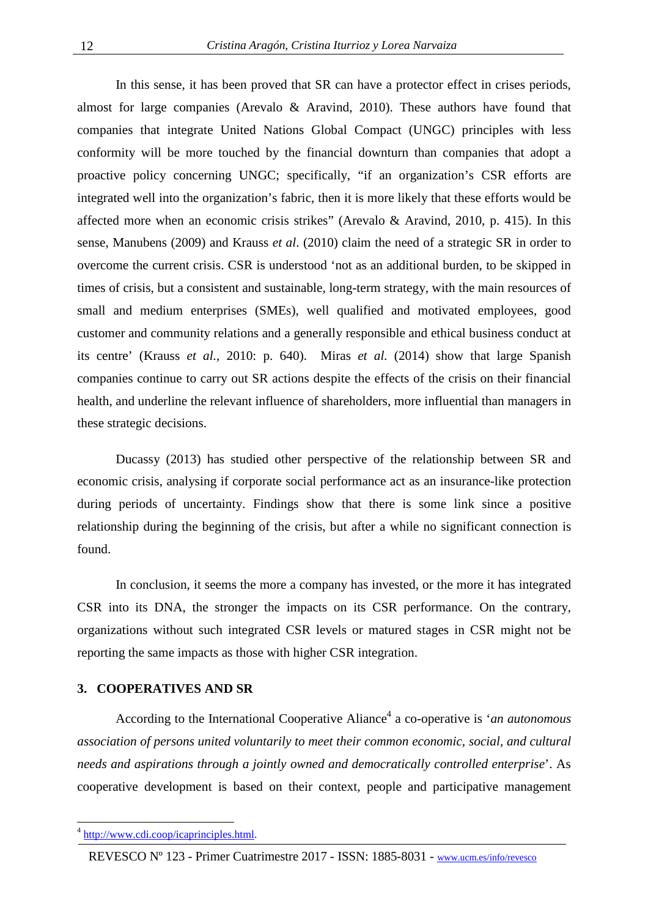In this sense, it has been proved that SR can have a protector effect in crises periods, almost for large companies (Arevalo & Aravind, 2010). These authors have found that companies that integrate United Nations Global Compact (UNGC) principles with less conformity will be more touched by the financial downturn than companies that adopt a proactive policy concerning UNGC; specifically, "if an organization's CSR efforts are integrated well into the organization's fabric, then it is more likely that these efforts would be affected more when an economic crisis strikes" (Arevalo & Aravind, 2010, p. 415). In this sense, Manubens (2009) and Krauss *et al*. (2010) claim the need of a strategic SR in order to overcome the current crisis. CSR is understood 'not as an additional burden, to be skipped in times of crisis, but a consistent and sustainable, long-term strategy, with the main resources of small and medium enterprises (SMEs), well qualified and motivated employees, good customer and community relations and a generally responsible and ethical business conduct at its centre' (Krauss *et al.,* 2010: p. 640). Miras *et al.* (2014) show that large Spanish companies continue to carry out SR actions despite the effects of the crisis on their financial health, and underline the relevant influence of shareholders, more influential than managers in these strategic decisions.

 Ducassy (2013) has studied other perspective of the relationship between SR and economic crisis, analysing if corporate social performance act as an insurance-like protection during periods of uncertainty. Findings show that there is some link since a positive relationship during the beginning of the crisis, but after a while no significant connection is found.

 In conclusion, it seems the more a company has invested, or the more it has integrated CSR into its DNA, the stronger the impacts on its CSR performance. On the contrary, organizations without such integrated CSR levels or matured stages in CSR might not be reporting the same impacts as those with higher CSR integration.

#### **3. COOPERATIVES AND SR**

According to the International Cooperative Aliance<sup>4</sup> a co-operative is '*an autonomous association of persons united voluntarily to meet their common economic, social, and cultural needs and aspirations through a jointly owned and democratically controlled enterprise*'. As cooperative development is based on their context, people and participative management

l

<sup>&</sup>lt;sup>4</sup> http://www.cdi.coop/icaprinciples.html.

REVESCO Nº 123 - Primer Cuatrimestre 2017 - ISSN: 1885-8031 - www.ucm.es/info/revesco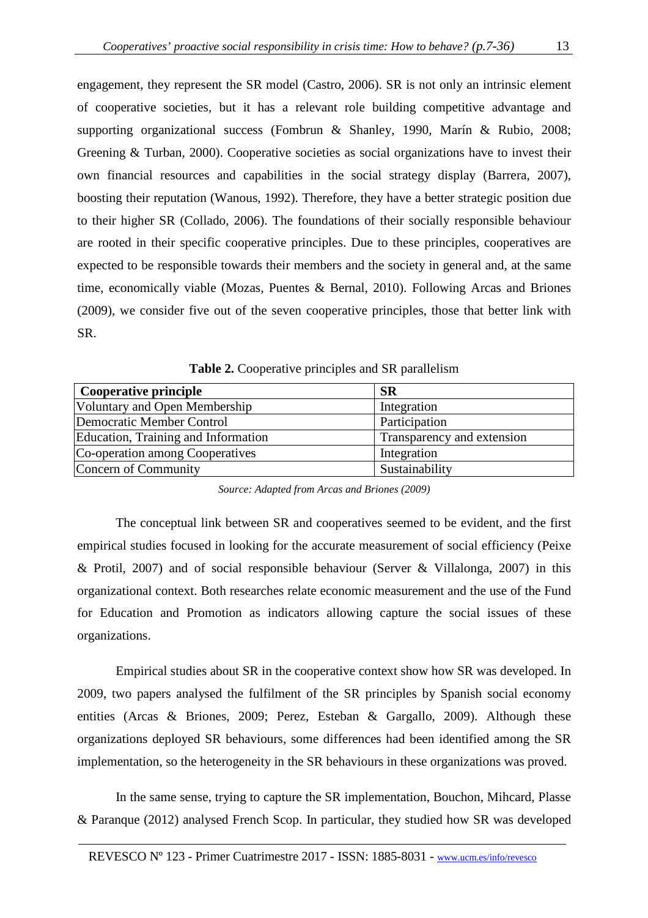engagement, they represent the SR model (Castro, 2006). SR is not only an intrinsic element of cooperative societies, but it has a relevant role building competitive advantage and supporting organizational success (Fombrun & Shanley, 1990, Marín & Rubio, 2008; Greening & Turban, 2000). Cooperative societies as social organizations have to invest their own financial resources and capabilities in the social strategy display (Barrera, 2007), boosting their reputation (Wanous, 1992). Therefore, they have a better strategic position due to their higher SR (Collado, 2006). The foundations of their socially responsible behaviour are rooted in their specific cooperative principles. Due to these principles, cooperatives are expected to be responsible towards their members and the society in general and, at the same time, economically viable (Mozas, Puentes & Bernal, 2010). Following Arcas and Briones (2009), we consider five out of the seven cooperative principles, those that better link with

SR.

| Cooperative principle               | <b>SR</b>                  |
|-------------------------------------|----------------------------|
| Voluntary and Open Membership       | Integration                |
| Democratic Member Control           | Participation              |
| Education, Training and Information | Transparency and extension |
| Co-operation among Cooperatives     | Integration                |
| Concern of Community                | Sustainability             |

**Table 2.** Cooperative principles and SR parallelism

*Source: Adapted from Arcas and Briones (2009)* 

 The conceptual link between SR and cooperatives seemed to be evident, and the first empirical studies focused in looking for the accurate measurement of social efficiency (Peixe & Protil, 2007) and of social responsible behaviour (Server & Villalonga, 2007) in this organizational context. Both researches relate economic measurement and the use of the Fund for Education and Promotion as indicators allowing capture the social issues of these organizations.

 Empirical studies about SR in the cooperative context show how SR was developed. In 2009, two papers analysed the fulfilment of the SR principles by Spanish social economy entities (Arcas & Briones, 2009; Perez, Esteban & Gargallo, 2009). Although these organizations deployed SR behaviours, some differences had been identified among the SR implementation, so the heterogeneity in the SR behaviours in these organizations was proved.

 In the same sense, trying to capture the SR implementation, Bouchon, Mihcard, Plasse & Paranque (2012) analysed French Scop. In particular, they studied how SR was developed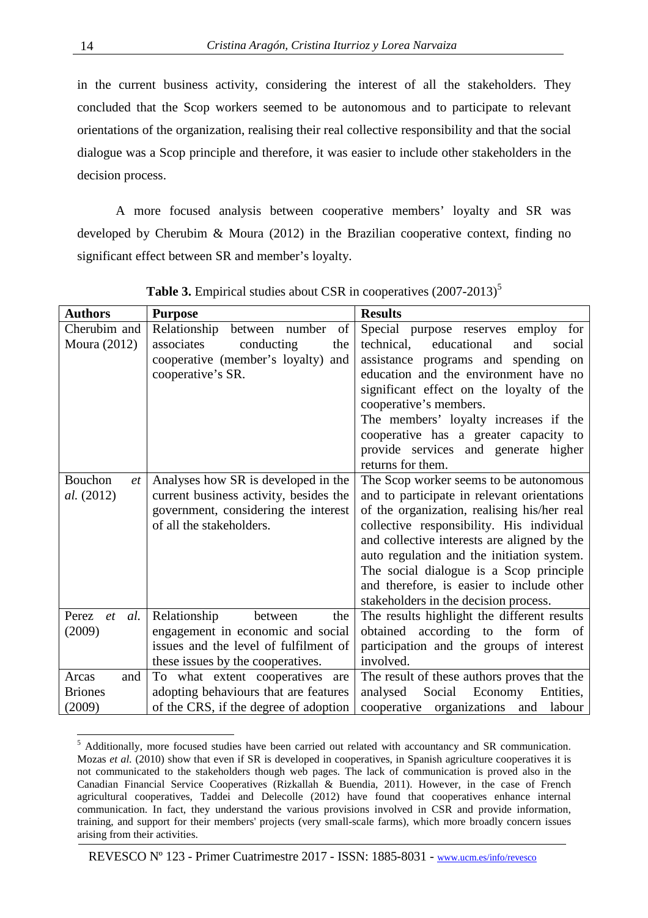in the current business activity, considering the interest of all the stakeholders. They concluded that the Scop workers seemed to be autonomous and to participate to relevant orientations of the organization, realising their real collective responsibility and that the social dialogue was a Scop principle and therefore, it was easier to include other stakeholders in the decision process.

 A more focused analysis between cooperative members' loyalty and SR was developed by Cherubim & Moura (2012) in the Brazilian cooperative context, finding no significant effect between SR and member's loyalty.

| <b>Authors</b>      | <b>Purpose</b>                         | <b>Results</b>                                                                            |
|---------------------|----------------------------------------|-------------------------------------------------------------------------------------------|
| Cherubim and        | of<br>Relationship<br>between number   | Special purpose reserves employ<br>for                                                    |
| <b>Moura</b> (2012) | associates<br>conducting<br>the        | educational<br>technical,<br>and<br>social                                                |
|                     | cooperative (member's loyalty)<br>and  | assistance programs and spending on                                                       |
|                     | cooperative's SR.                      | education and the environment have no                                                     |
|                     |                                        | significant effect on the loyalty of the                                                  |
|                     |                                        | cooperative's members.                                                                    |
|                     |                                        | The members' loyalty increases if the                                                     |
|                     |                                        | cooperative has a greater capacity to                                                     |
|                     |                                        | provide services and generate higher                                                      |
|                     |                                        | returns for them.                                                                         |
| Bouchon<br>et       | Analyses how SR is developed in the    | The Scop worker seems to be autonomous                                                    |
| <i>al.</i> (2012)   | current business activity, besides the | and to participate in relevant orientations                                               |
|                     | government, considering the interest   | of the organization, realising his/her real                                               |
|                     | of all the stakeholders.               | collective responsibility. His individual                                                 |
|                     |                                        | and collective interests are aligned by the<br>auto regulation and the initiation system. |
|                     |                                        | The social dialogue is a Scop principle                                                   |
|                     |                                        | and therefore, is easier to include other                                                 |
|                     |                                        | stakeholders in the decision process.                                                     |
| al.<br>Perez<br>et  | Relationship<br>between<br>the         | The results highlight the different results                                               |
| (2009)              | engagement in economic and social      | obtained according to the form of                                                         |
|                     | issues and the level of fulfilment of  | participation and the groups of interest                                                  |
|                     | these issues by the cooperatives.      | involved.                                                                                 |
| and<br>Arcas        | To what extent cooperatives are        | The result of these authors proves that the                                               |
| <b>Briones</b>      | adopting behaviours that are features  | Social<br>Economy<br>analysed<br>Entities,                                                |
| (2009)              | of the CRS, if the degree of adoption  | cooperative organizations<br>labour<br>and                                                |

**Table 3.** Empirical studies about CSR in cooperatives (2007-2013)<sup>5</sup>

 $\overline{a}$ 

<sup>5</sup> Additionally, more focused studies have been carried out related with accountancy and SR communication. Mozas *et al.* (2010) show that even if SR is developed in cooperatives, in Spanish agriculture cooperatives it is not communicated to the stakeholders though web pages. The lack of communication is proved also in the Canadian Financial Service Cooperatives (Rizkallah & Buendia, 2011). However, in the case of French agricultural cooperatives, Taddei and Delecolle (2012) have found that cooperatives enhance internal communication. In fact, they understand the various provisions involved in CSR and provide information, training, and support for their members' projects (very small-scale farms), which more broadly concern issues arising from their activities.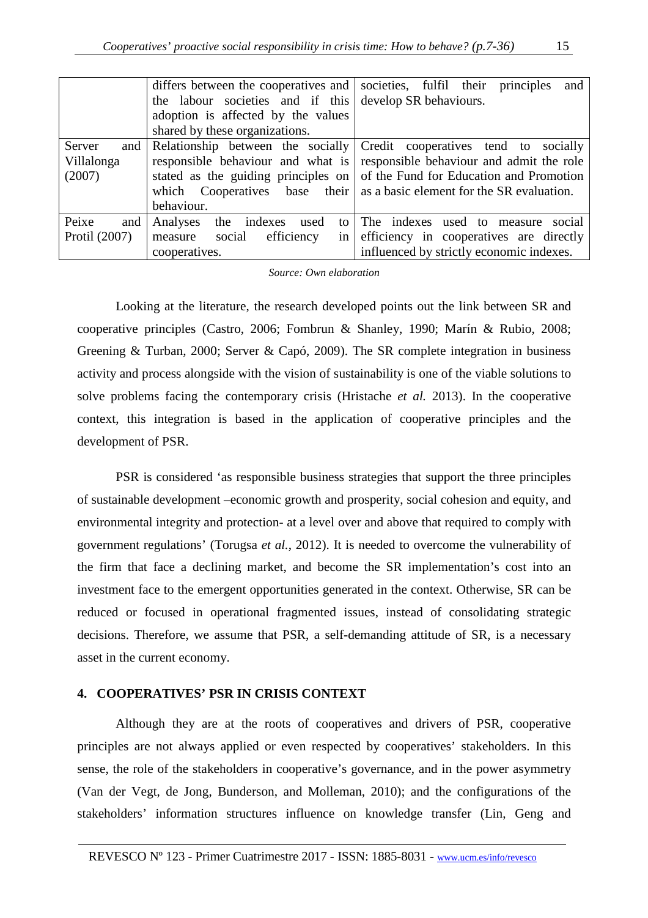|               | differs between the cooperatives and     | societies, fulfil their principles<br>and |
|---------------|------------------------------------------|-------------------------------------------|
|               | the labour societies and if this         | develop SR behaviours.                    |
|               | adoption is affected by the values       |                                           |
|               | shared by these organizations.           |                                           |
| Server<br>and | Relationship between the socially        | Credit cooperatives tend to socially      |
| Villalonga    | responsible behaviour and what is        | responsible behaviour and admit the role  |
| (2007)        | stated as the guiding principles on      | of the Fund for Education and Promotion   |
|               | which Cooperatives base their            | as a basic element for the SR evaluation. |
|               | behaviour.                               |                                           |
| Peixe<br>and  | Analyses<br>the<br>indexes<br>used<br>to | The indexes<br>used to measure<br>social  |
| Protil (2007) | social<br>efficiency<br>measure<br>in    | efficiency in cooperatives are directly   |
|               | cooperatives.                            | influenced by strictly economic indexes.  |

*Source: Own elaboration* 

 Looking at the literature, the research developed points out the link between SR and cooperative principles (Castro, 2006; Fombrun & Shanley, 1990; Marín & Rubio, 2008; Greening & Turban, 2000; Server & Capó, 2009). The SR complete integration in business activity and process alongside with the vision of sustainability is one of the viable solutions to solve problems facing the contemporary crisis (Hristache *et al.* 2013). In the cooperative context, this integration is based in the application of cooperative principles and the development of PSR.

 PSR is considered 'as responsible business strategies that support the three principles of sustainable development –economic growth and prosperity, social cohesion and equity, and environmental integrity and protection- at a level over and above that required to comply with government regulations' (Torugsa *et al.*, 2012). It is needed to overcome the vulnerability of the firm that face a declining market, and become the SR implementation's cost into an investment face to the emergent opportunities generated in the context. Otherwise, SR can be reduced or focused in operational fragmented issues, instead of consolidating strategic decisions. Therefore, we assume that PSR, a self-demanding attitude of SR, is a necessary asset in the current economy.

# **4. COOPERATIVES' PSR IN CRISIS CONTEXT**

 Although they are at the roots of cooperatives and drivers of PSR, cooperative principles are not always applied or even respected by cooperatives' stakeholders. In this sense, the role of the stakeholders in cooperative's governance, and in the power asymmetry (Van der Vegt, de Jong, Bunderson, and Molleman, 2010); and the configurations of the stakeholders' information structures influence on knowledge transfer (Lin, Geng and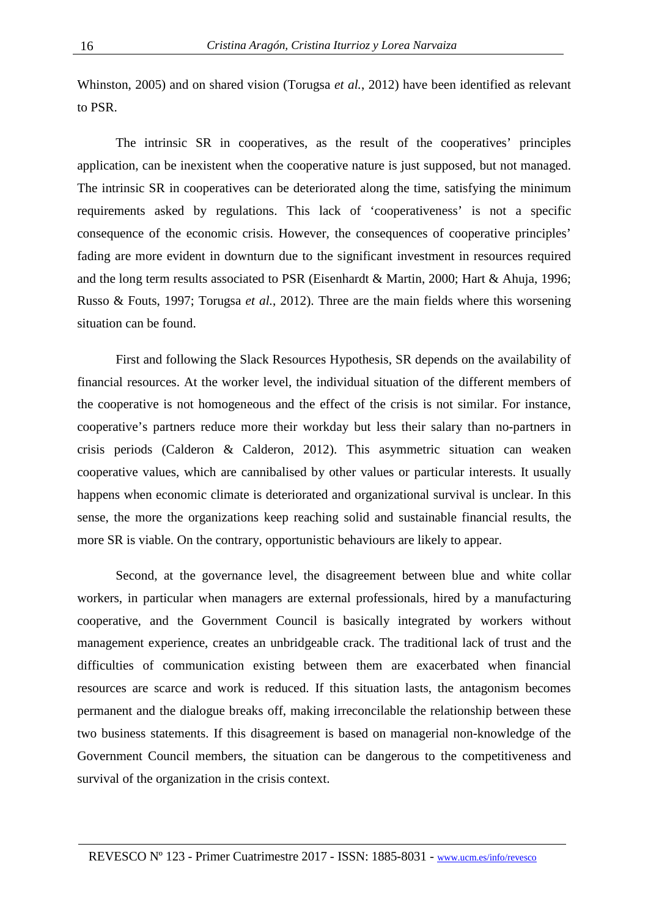Whinston, 2005) and on shared vision (Torugsa *et al.*, 2012) have been identified as relevant to PSR.

 The intrinsic SR in cooperatives, as the result of the cooperatives' principles application, can be inexistent when the cooperative nature is just supposed, but not managed. The intrinsic SR in cooperatives can be deteriorated along the time, satisfying the minimum requirements asked by regulations. This lack of 'cooperativeness' is not a specific consequence of the economic crisis. However, the consequences of cooperative principles' fading are more evident in downturn due to the significant investment in resources required and the long term results associated to PSR (Eisenhardt & Martin, 2000; Hart & Ahuja, 1996; Russo & Fouts, 1997; Torugsa *et al.*, 2012). Three are the main fields where this worsening situation can be found.

 First and following the Slack Resources Hypothesis, SR depends on the availability of financial resources. At the worker level, the individual situation of the different members of the cooperative is not homogeneous and the effect of the crisis is not similar. For instance, cooperative's partners reduce more their workday but less their salary than no-partners in crisis periods (Calderon & Calderon, 2012). This asymmetric situation can weaken cooperative values, which are cannibalised by other values or particular interests. It usually happens when economic climate is deteriorated and organizational survival is unclear. In this sense, the more the organizations keep reaching solid and sustainable financial results, the more SR is viable. On the contrary, opportunistic behaviours are likely to appear.

 Second, at the governance level, the disagreement between blue and white collar workers, in particular when managers are external professionals, hired by a manufacturing cooperative, and the Government Council is basically integrated by workers without management experience, creates an unbridgeable crack. The traditional lack of trust and the difficulties of communication existing between them are exacerbated when financial resources are scarce and work is reduced. If this situation lasts, the antagonism becomes permanent and the dialogue breaks off, making irreconcilable the relationship between these two business statements. If this disagreement is based on managerial non-knowledge of the Government Council members, the situation can be dangerous to the competitiveness and survival of the organization in the crisis context.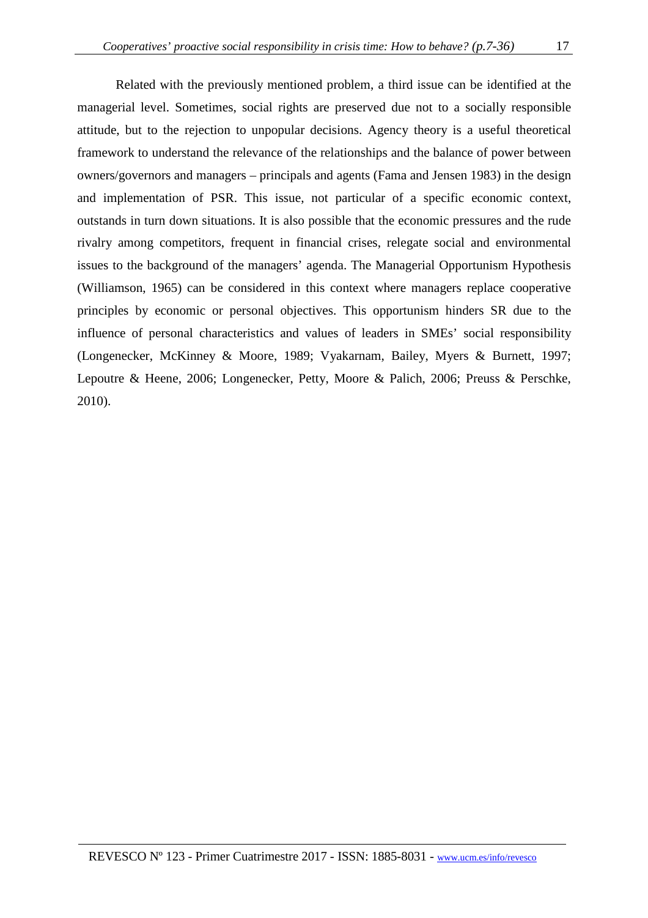Related with the previously mentioned problem, a third issue can be identified at the managerial level. Sometimes, social rights are preserved due not to a socially responsible attitude, but to the rejection to unpopular decisions. Agency theory is a useful theoretical framework to understand the relevance of the relationships and the balance of power between owners/governors and managers – principals and agents (Fama and Jensen 1983) in the design and implementation of PSR. This issue, not particular of a specific economic context, outstands in turn down situations. It is also possible that the economic pressures and the rude rivalry among competitors, frequent in financial crises, relegate social and environmental issues to the background of the managers' agenda. The Managerial Opportunism Hypothesis (Williamson, 1965) can be considered in this context where managers replace cooperative principles by economic or personal objectives. This opportunism hinders SR due to the influence of personal characteristics and values of leaders in SMEs' social responsibility (Longenecker, McKinney & Moore, 1989; Vyakarnam, Bailey, Myers & Burnett, 1997; Lepoutre & Heene, 2006; Longenecker, Petty, Moore & Palich, 2006; Preuss & Perschke, 2010).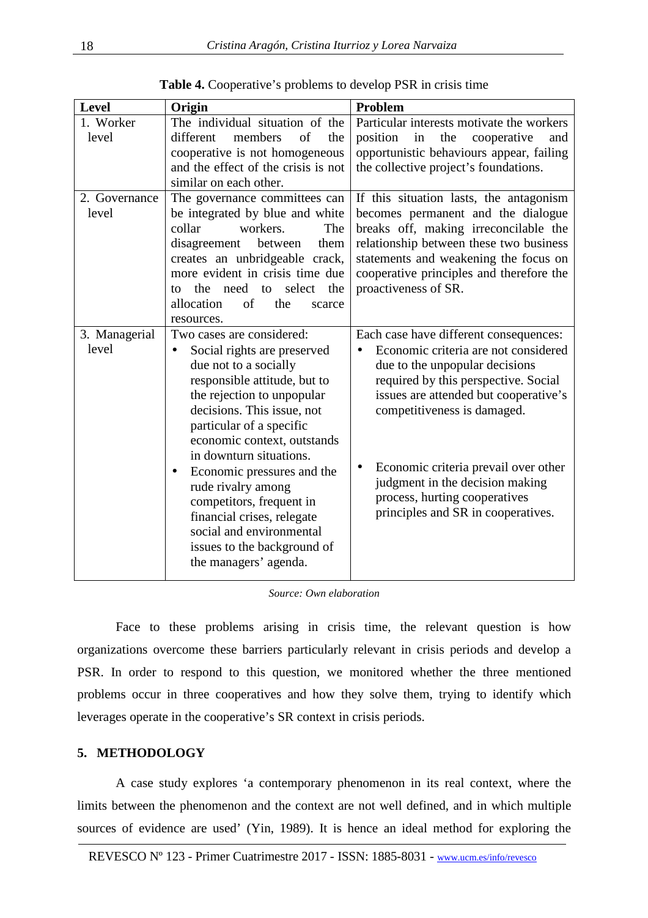| <b>Level</b>           | Origin                                                                                                                                                                                                                                                                                                                                                                                                                                                                             | Problem                                                                                                                                                                                                                                                                                                                                                                                         |
|------------------------|------------------------------------------------------------------------------------------------------------------------------------------------------------------------------------------------------------------------------------------------------------------------------------------------------------------------------------------------------------------------------------------------------------------------------------------------------------------------------------|-------------------------------------------------------------------------------------------------------------------------------------------------------------------------------------------------------------------------------------------------------------------------------------------------------------------------------------------------------------------------------------------------|
| 1. Worker              | The individual situation of the                                                                                                                                                                                                                                                                                                                                                                                                                                                    | Particular interests motivate the workers                                                                                                                                                                                                                                                                                                                                                       |
| level                  | of<br>different<br>members<br>the                                                                                                                                                                                                                                                                                                                                                                                                                                                  | position<br>the<br>in<br>cooperative<br>and                                                                                                                                                                                                                                                                                                                                                     |
|                        | cooperative is not homogeneous                                                                                                                                                                                                                                                                                                                                                                                                                                                     | opportunistic behaviours appear, failing                                                                                                                                                                                                                                                                                                                                                        |
|                        | and the effect of the crisis is not                                                                                                                                                                                                                                                                                                                                                                                                                                                | the collective project's foundations.                                                                                                                                                                                                                                                                                                                                                           |
|                        | similar on each other.                                                                                                                                                                                                                                                                                                                                                                                                                                                             |                                                                                                                                                                                                                                                                                                                                                                                                 |
| 2. Governance<br>level | The governance committees can<br>be integrated by blue and white<br>collar<br>workers.<br>The<br>disagreement<br>between<br>them<br>creates an unbridgeable crack,<br>more evident in crisis time due<br>the<br>need<br>select<br>the                                                                                                                                                                                                                                              | If this situation lasts, the antagonism<br>becomes permanent and the dialogue<br>breaks off, making irreconcilable the<br>relationship between these two business<br>statements and weakening the focus on<br>cooperative principles and therefore the<br>proactiveness of SR.                                                                                                                  |
|                        | to<br>tΩ<br>of<br>allocation<br>the<br>scarce<br>resources.                                                                                                                                                                                                                                                                                                                                                                                                                        |                                                                                                                                                                                                                                                                                                                                                                                                 |
| 3. Managerial<br>level | Two cases are considered:<br>Social rights are preserved<br>due not to a socially<br>responsible attitude, but to<br>the rejection to unpopular<br>decisions. This issue, not<br>particular of a specific<br>economic context, outstands<br>in downturn situations.<br>Economic pressures and the<br>$\bullet$<br>rude rivalry among<br>competitors, frequent in<br>financial crises, relegate<br>social and environmental<br>issues to the background of<br>the managers' agenda. | Each case have different consequences:<br>Economic criteria are not considered<br>due to the unpopular decisions<br>required by this perspective. Social<br>issues are attended but cooperative's<br>competitiveness is damaged.<br>Economic criteria prevail over other<br>$\bullet$<br>judgment in the decision making<br>process, hurting cooperatives<br>principles and SR in cooperatives. |

**Table 4.** Cooperative's problems to develop PSR in crisis time

*Source: Own elaboration* 

 Face to these problems arising in crisis time, the relevant question is how organizations overcome these barriers particularly relevant in crisis periods and develop a PSR. In order to respond to this question, we monitored whether the three mentioned problems occur in three cooperatives and how they solve them, trying to identify which leverages operate in the cooperative's SR context in crisis periods.

# **5. METHODOLOGY**

 A case study explores 'a contemporary phenomenon in its real context, where the limits between the phenomenon and the context are not well defined, and in which multiple sources of evidence are used' (Yin, 1989). It is hence an ideal method for exploring the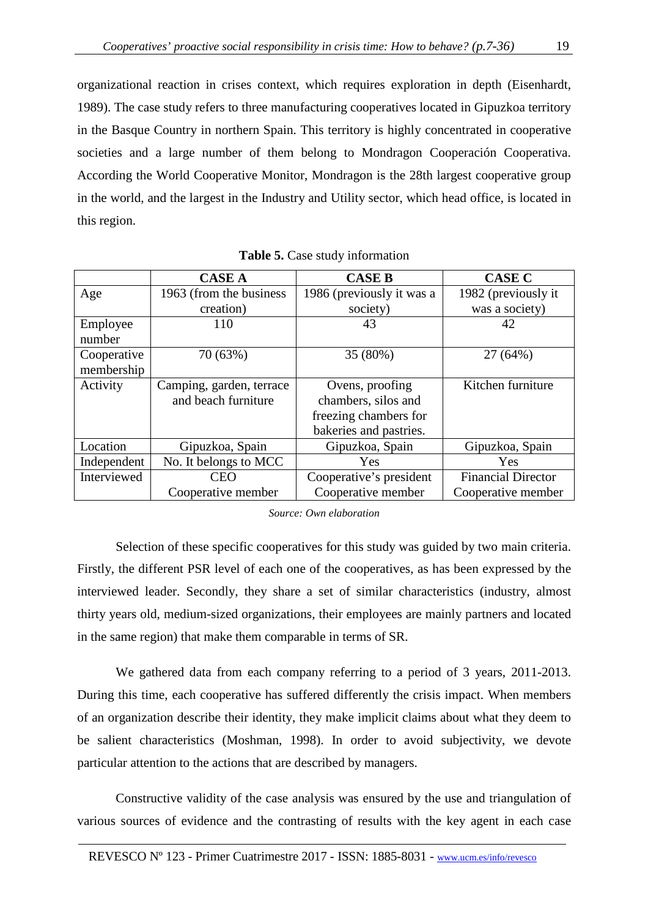organizational reaction in crises context, which requires exploration in depth (Eisenhardt, 1989). The case study refers to three manufacturing cooperatives located in Gipuzkoa territory in the Basque Country in northern Spain. This territory is highly concentrated in cooperative societies and a large number of them belong to Mondragon Cooperación Cooperativa. According the World Cooperative Monitor, Mondragon is the 28th largest cooperative group in the world, and the largest in the Industry and Utility sector, which head office, is located in this region.

|             | <b>CASE A</b>            | <b>CASE B</b>             | <b>CASE C</b>             |
|-------------|--------------------------|---------------------------|---------------------------|
| Age         | 1963 (from the business  | 1986 (previously it was a | 1982 (previously it       |
|             | creation)                | society)                  | was a society)            |
| Employee    | 110                      | 43                        | 42                        |
| number      |                          |                           |                           |
| Cooperative | 70 (63%)                 | 35 (80%)                  | 27 (64%)                  |
| membership  |                          |                           |                           |
| Activity    | Camping, garden, terrace | Ovens, proofing           | Kitchen furniture         |
|             | and beach furniture      | chambers, silos and       |                           |
|             |                          | freezing chambers for     |                           |
|             |                          | bakeries and pastries.    |                           |
| Location    | Gipuzkoa, Spain          | Gipuzkoa, Spain           | Gipuzkoa, Spain           |
| Independent | No. It belongs to MCC    | Yes                       | Yes                       |
| Interviewed | <b>CEO</b>               | Cooperative's president   | <b>Financial Director</b> |
|             | Cooperative member       | Cooperative member        | Cooperative member        |

| Table 5. Case study information |
|---------------------------------|
|---------------------------------|

*Source: Own elaboration* 

 Selection of these specific cooperatives for this study was guided by two main criteria. Firstly, the different PSR level of each one of the cooperatives, as has been expressed by the interviewed leader. Secondly, they share a set of similar characteristics (industry, almost thirty years old, medium-sized organizations, their employees are mainly partners and located in the same region) that make them comparable in terms of SR.

 We gathered data from each company referring to a period of 3 years, 2011-2013. During this time, each cooperative has suffered differently the crisis impact. When members of an organization describe their identity, they make implicit claims about what they deem to be salient characteristics (Moshman, 1998). In order to avoid subjectivity, we devote particular attention to the actions that are described by managers.

 Constructive validity of the case analysis was ensured by the use and triangulation of various sources of evidence and the contrasting of results with the key agent in each case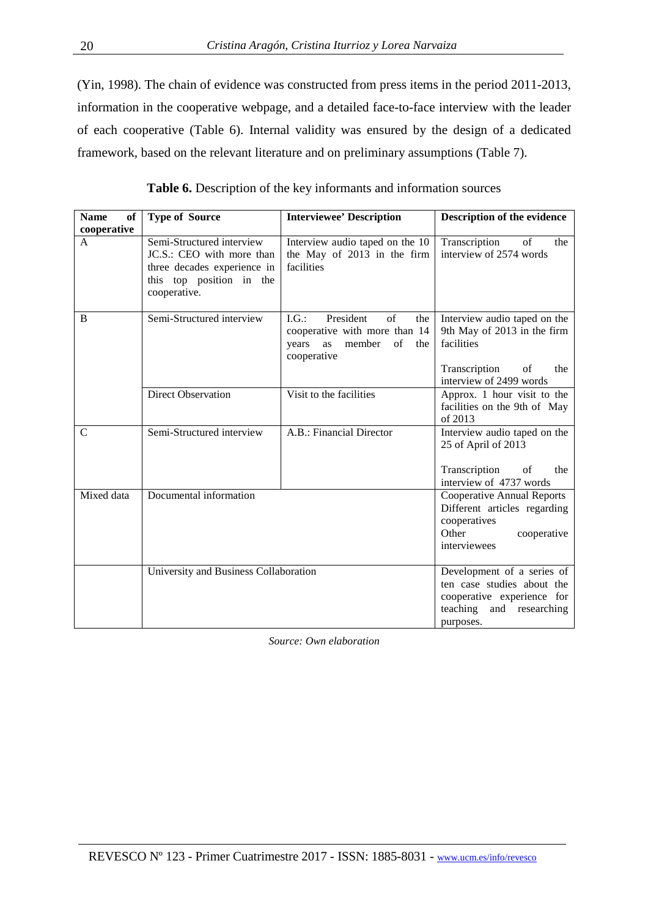(Yin, 1998). The chain of evidence was constructed from press items in the period 2011-2013, information in the cooperative webpage, and a detailed face-to-face interview with the leader of each cooperative (Table 6). Internal validity was ensured by the design of a dedicated framework, based on the relevant literature and on preliminary assumptions (Table 7).

| <b>Name</b><br>of | <b>Type of Source</b>                                                                                                             | <b>Interviewee' Description</b>                                                                                     | <b>Description of the evidence</b>                                                                                                 |
|-------------------|-----------------------------------------------------------------------------------------------------------------------------------|---------------------------------------------------------------------------------------------------------------------|------------------------------------------------------------------------------------------------------------------------------------|
| cooperative       |                                                                                                                                   |                                                                                                                     |                                                                                                                                    |
| A                 | Semi-Structured interview<br>JC.S.: CEO with more than<br>three decades experience in<br>this top position in the<br>cooperative. | Interview audio taped on the 10<br>the May of 2013 in the firm<br>facilities                                        | Transcription<br>of<br>the<br>interview of 2574 words                                                                              |
| B                 | Semi-Structured interview                                                                                                         | LG:<br>President<br>of<br>the<br>cooperative with more than 14<br>of<br>years<br>member<br>the<br>as<br>cooperative | Interview audio taped on the<br>9th May of 2013 in the firm<br>facilities<br>Transcription<br>of<br>the<br>interview of 2499 words |
|                   | <b>Direct Observation</b>                                                                                                         | Visit to the facilities                                                                                             | Approx. 1 hour visit to the<br>facilities on the 9th of May<br>of 2013                                                             |
| $\mathsf{C}$      | Semi-Structured interview                                                                                                         | A.B.: Financial Director                                                                                            | Interview audio taped on the<br>25 of April of 2013<br>Transcription<br>of<br>the<br>interview of 4737 words                       |
| Mixed data        | Documental information                                                                                                            |                                                                                                                     | <b>Cooperative Annual Reports</b><br>Different articles regarding<br>cooperatives<br>Other<br>cooperative<br>interviewees          |
|                   | University and Business Collaboration                                                                                             |                                                                                                                     | Development of a series of<br>ten case studies about the<br>cooperative experience for<br>teaching and researching<br>purposes.    |

|  | Table 6. Description of the key informants and information sources |
|--|--------------------------------------------------------------------|
|--|--------------------------------------------------------------------|

*Source: Own elaboration*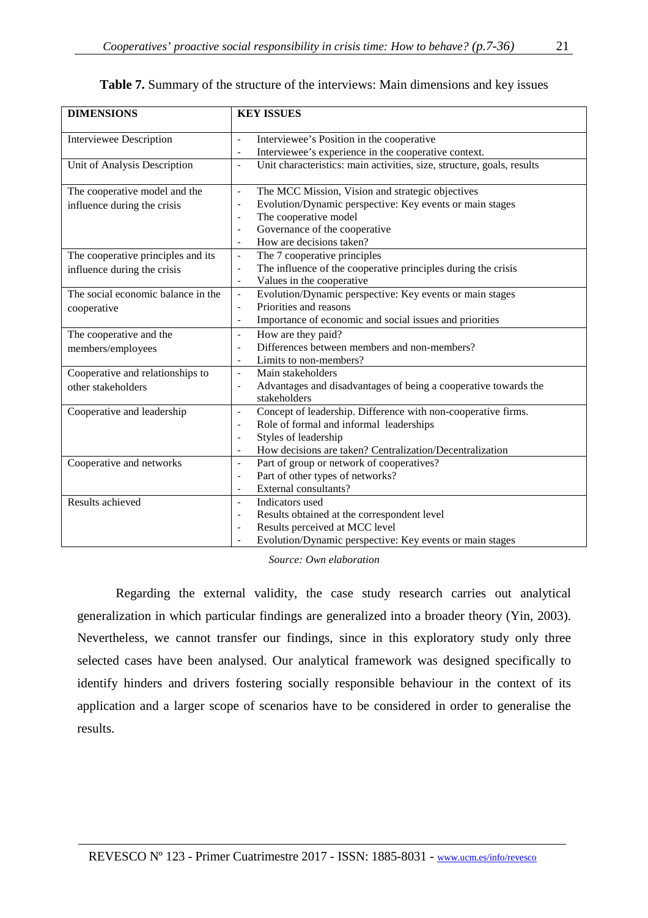| <b>DIMENSIONS</b>                  | <b>KEY ISSUES</b>                                                                               |
|------------------------------------|-------------------------------------------------------------------------------------------------|
| <b>Interviewee Description</b>     | Interviewee's Position in the cooperative<br>$\overline{a}$                                     |
|                                    | Interviewee's experience in the cooperative context.<br>$\overline{\phantom{0}}$                |
| Unit of Analysis Description       | Unit characteristics: main activities, size, structure, goals, results<br>$\overline{a}$        |
| The cooperative model and the      | The MCC Mission, Vision and strategic objectives<br>$\overline{a}$                              |
| influence during the crisis        | Evolution/Dynamic perspective: Key events or main stages<br>$\qquad \qquad \blacksquare$        |
|                                    | The cooperative model                                                                           |
|                                    | Governance of the cooperative<br>$\overline{\phantom{a}}$                                       |
|                                    | How are decisions taken?<br>$\overline{a}$                                                      |
| The cooperative principles and its | The 7 cooperative principles<br>$\frac{1}{2}$                                                   |
| influence during the crisis        | The influence of the cooperative principles during the crisis<br>$\overline{a}$                 |
|                                    | Values in the cooperative<br>$\overline{a}$                                                     |
| The social economic balance in the | Evolution/Dynamic perspective: Key events or main stages<br>$\overline{\phantom{0}}$            |
| cooperative                        | Priorities and reasons<br>$\overline{a}$                                                        |
|                                    | Importance of economic and social issues and priorities<br>$\qquad \qquad \blacksquare$         |
| The cooperative and the            | How are they paid?<br>$\overline{\phantom{0}}$                                                  |
| members/employees                  | Differences between members and non-members?<br>$\overline{a}$                                  |
|                                    | Limits to non-members?<br>$\overline{\phantom{a}}$                                              |
| Cooperative and relationships to   | Main stakeholders<br>$\overline{\phantom{0}}$                                                   |
| other stakeholders                 | Advantages and disadvantages of being a cooperative towards the<br>$\qquad \qquad \blacksquare$ |
|                                    | stakeholders                                                                                    |
| Cooperative and leadership         | Concept of leadership. Difference with non-cooperative firms.<br>$\qquad \qquad \blacksquare$   |
|                                    | Role of formal and informal leaderships<br>$\overline{a}$                                       |
|                                    | Styles of leadership<br>$\overline{a}$                                                          |
|                                    | How decisions are taken? Centralization/Decentralization<br>$\qquad \qquad \blacksquare$        |
| Cooperative and networks           | Part of group or network of cooperatives?<br>$\qquad \qquad \blacksquare$                       |
|                                    | Part of other types of networks?<br>$\overline{a}$                                              |
|                                    | External consultants?<br>$\overline{a}$                                                         |
| Results achieved                   | Indicators used<br>$\qquad \qquad \blacksquare$                                                 |
|                                    | Results obtained at the correspondent level<br>$\overline{\phantom{a}}$                         |
|                                    | Results perceived at MCC level                                                                  |
|                                    | Evolution/Dynamic perspective: Key events or main stages                                        |

| <b>Table 7.</b> Summary of the structure of the interviews: Main dimensions and key issues |  |
|--------------------------------------------------------------------------------------------|--|
|--------------------------------------------------------------------------------------------|--|

*Source: Own elaboration* 

 Regarding the external validity, the case study research carries out analytical generalization in which particular findings are generalized into a broader theory (Yin, 2003). Nevertheless, we cannot transfer our findings, since in this exploratory study only three selected cases have been analysed. Our analytical framework was designed specifically to identify hinders and drivers fostering socially responsible behaviour in the context of its application and a larger scope of scenarios have to be considered in order to generalise the results.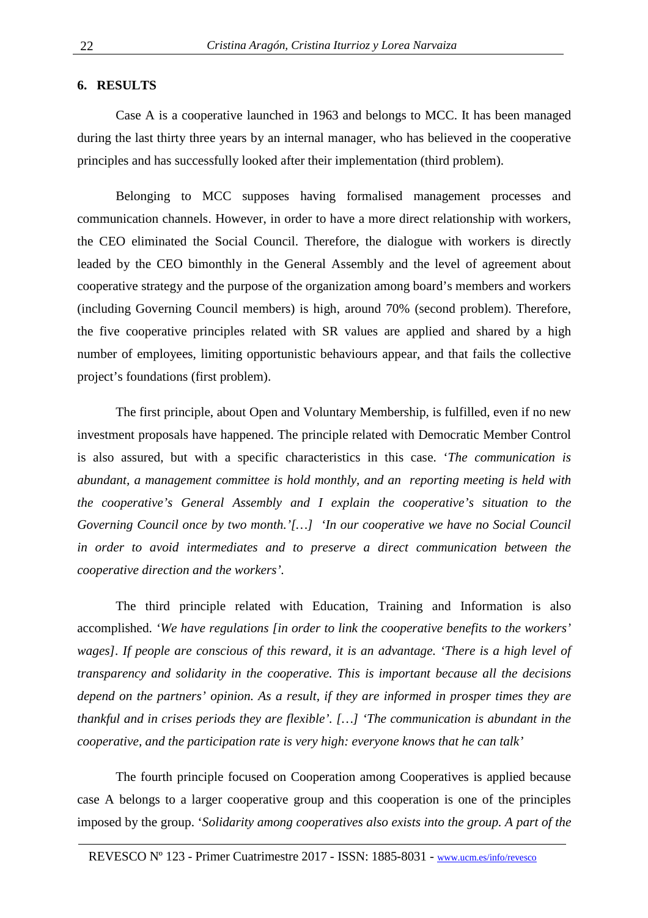## **6. RESULTS**

 Case A is a cooperative launched in 1963 and belongs to MCC. It has been managed during the last thirty three years by an internal manager, who has believed in the cooperative principles and has successfully looked after their implementation (third problem).

 Belonging to MCC supposes having formalised management processes and communication channels. However, in order to have a more direct relationship with workers, the CEO eliminated the Social Council. Therefore, the dialogue with workers is directly leaded by the CEO bimonthly in the General Assembly and the level of agreement about cooperative strategy and the purpose of the organization among board's members and workers (including Governing Council members) is high, around 70% (second problem). Therefore, the five cooperative principles related with SR values are applied and shared by a high number of employees, limiting opportunistic behaviours appear, and that fails the collective project's foundations (first problem).

 The first principle, about Open and Voluntary Membership, is fulfilled, even if no new investment proposals have happened. The principle related with Democratic Member Control is also assured, but with a specific characteristics in this case. '*The communication is abundant, a management committee is hold monthly, and an reporting meeting is held with the cooperative's General Assembly and I explain the cooperative's situation to the Governing Council once by two month.'[…] 'In our cooperative we have no Social Council in order to avoid intermediates and to preserve a direct communication between the cooperative direction and the workers'.* 

 The third principle related with Education, Training and Information is also accomplished. *'We have regulations [in order to link the cooperative benefits to the workers' wages]. If people are conscious of this reward, it is an advantage. 'There is a high level of transparency and solidarity in the cooperative. This is important because all the decisions depend on the partners' opinion. As a result, if they are informed in prosper times they are thankful and in crises periods they are flexible'. […] 'The communication is abundant in the cooperative, and the participation rate is very high: everyone knows that he can talk'* 

 The fourth principle focused on Cooperation among Cooperatives is applied because case A belongs to a larger cooperative group and this cooperation is one of the principles imposed by the group. '*Solidarity among cooperatives also exists into the group. A part of the*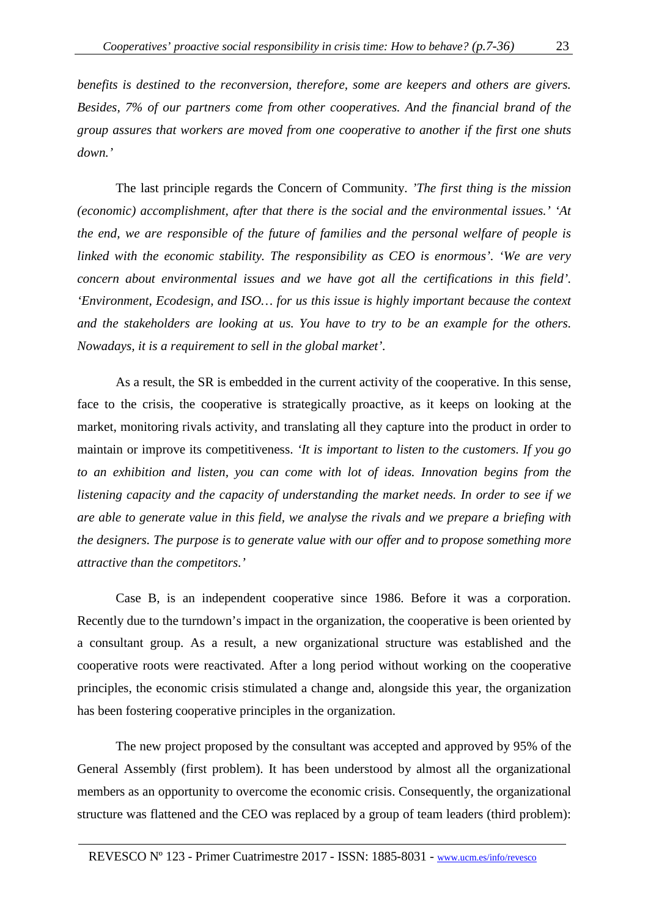*benefits is destined to the reconversion, therefore, some are keepers and others are givers. Besides, 7% of our partners come from other cooperatives. And the financial brand of the group assures that workers are moved from one cooperative to another if the first one shuts down.'* 

 The last principle regards the Concern of Community. *'The first thing is the mission (economic) accomplishment, after that there is the social and the environmental issues.' 'At the end, we are responsible of the future of families and the personal welfare of people is linked with the economic stability. The responsibility as CEO is enormous'. 'We are very concern about environmental issues and we have got all the certifications in this field'. 'Environment, Ecodesign, and ISO… for us this issue is highly important because the context and the stakeholders are looking at us. You have to try to be an example for the others. Nowadays, it is a requirement to sell in the global market'.* 

 As a result, the SR is embedded in the current activity of the cooperative. In this sense, face to the crisis, the cooperative is strategically proactive, as it keeps on looking at the market, monitoring rivals activity, and translating all they capture into the product in order to maintain or improve its competitiveness. *'It is important to listen to the customers. If you go to an exhibition and listen, you can come with lot of ideas. Innovation begins from the listening capacity and the capacity of understanding the market needs. In order to see if we are able to generate value in this field, we analyse the rivals and we prepare a briefing with the designers. The purpose is to generate value with our offer and to propose something more attractive than the competitors.'* 

 Case B, is an independent cooperative since 1986. Before it was a corporation. Recently due to the turndown's impact in the organization, the cooperative is been oriented by a consultant group. As a result, a new organizational structure was established and the cooperative roots were reactivated. After a long period without working on the cooperative principles, the economic crisis stimulated a change and, alongside this year, the organization has been fostering cooperative principles in the organization.

 The new project proposed by the consultant was accepted and approved by 95% of the General Assembly (first problem). It has been understood by almost all the organizational members as an opportunity to overcome the economic crisis. Consequently, the organizational structure was flattened and the CEO was replaced by a group of team leaders (third problem):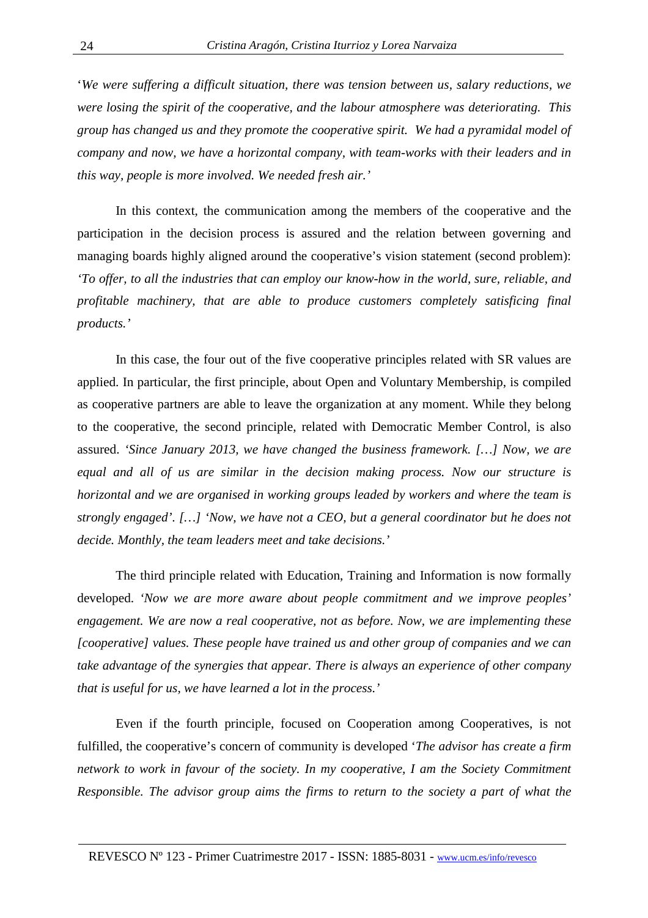'*We were suffering a difficult situation, there was tension between us, salary reductions, we were losing the spirit of the cooperative, and the labour atmosphere was deteriorating. This group has changed us and they promote the cooperative spirit. We had a pyramidal model of company and now, we have a horizontal company, with team-works with their leaders and in this way, people is more involved. We needed fresh air.'* 

 In this context, the communication among the members of the cooperative and the participation in the decision process is assured and the relation between governing and managing boards highly aligned around the cooperative's vision statement (second problem): *'To offer, to all the industries that can employ our know-how in the world, sure, reliable, and profitable machinery, that are able to produce customers completely satisficing final products.'* 

 In this case, the four out of the five cooperative principles related with SR values are applied. In particular, the first principle, about Open and Voluntary Membership, is compiled as cooperative partners are able to leave the organization at any moment. While they belong to the cooperative, the second principle, related with Democratic Member Control, is also assured. *'Since January 2013, we have changed the business framework. […] Now, we are equal and all of us are similar in the decision making process. Now our structure is horizontal and we are organised in working groups leaded by workers and where the team is strongly engaged'. […] 'Now, we have not a CEO, but a general coordinator but he does not decide. Monthly, the team leaders meet and take decisions.'*

 The third principle related with Education, Training and Information is now formally developed. *'Now we are more aware about people commitment and we improve peoples' engagement. We are now a real cooperative, not as before. Now, we are implementing these [cooperative] values. These people have trained us and other group of companies and we can take advantage of the synergies that appear. There is always an experience of other company that is useful for us, we have learned a lot in the process.'*

 Even if the fourth principle, focused on Cooperation among Cooperatives, is not fulfilled, the cooperative's concern of community is developed '*The advisor has create a firm network to work in favour of the society. In my cooperative, I am the Society Commitment Responsible. The advisor group aims the firms to return to the society a part of what the*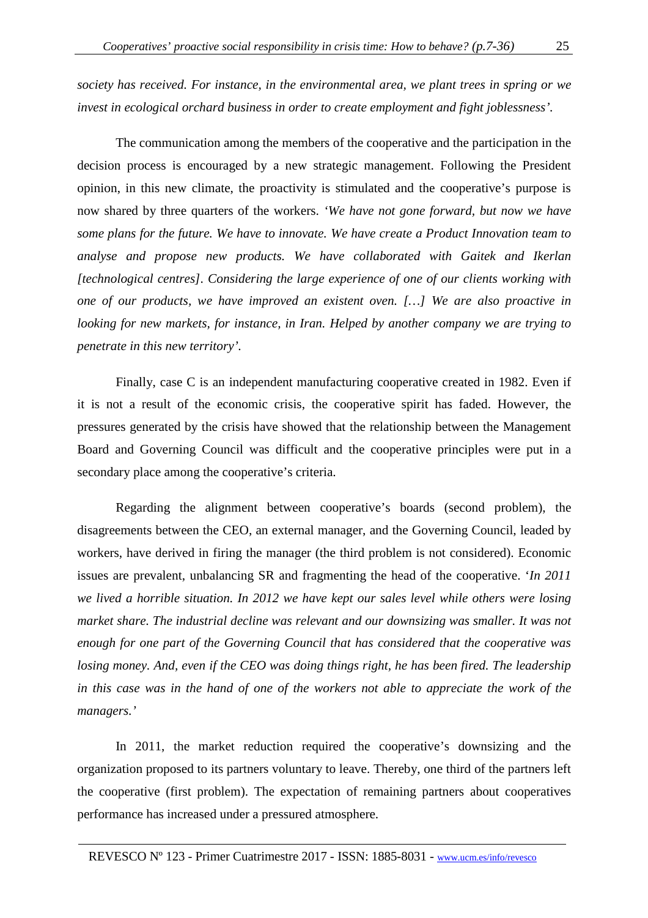*society has received. For instance, in the environmental area, we plant trees in spring or we invest in ecological orchard business in order to create employment and fight joblessness'.* 

 The communication among the members of the cooperative and the participation in the decision process is encouraged by a new strategic management. Following the President opinion, in this new climate, the proactivity is stimulated and the cooperative's purpose is now shared by three quarters of the workers. *'We have not gone forward, but now we have some plans for the future. We have to innovate. We have create a Product Innovation team to analyse and propose new products. We have collaborated with Gaitek and Ikerlan [technological centres]. Considering the large experience of one of our clients working with one of our products, we have improved an existent oven. […] We are also proactive in looking for new markets, for instance, in Iran. Helped by another company we are trying to penetrate in this new territory'.* 

 Finally, case C is an independent manufacturing cooperative created in 1982. Even if it is not a result of the economic crisis, the cooperative spirit has faded. However, the pressures generated by the crisis have showed that the relationship between the Management Board and Governing Council was difficult and the cooperative principles were put in a secondary place among the cooperative's criteria.

 Regarding the alignment between cooperative's boards (second problem), the disagreements between the CEO, an external manager, and the Governing Council, leaded by workers, have derived in firing the manager (the third problem is not considered). Economic issues are prevalent, unbalancing SR and fragmenting the head of the cooperative. '*In 2011 we lived a horrible situation. In 2012 we have kept our sales level while others were losing market share. The industrial decline was relevant and our downsizing was smaller. It was not enough for one part of the Governing Council that has considered that the cooperative was losing money. And, even if the CEO was doing things right, he has been fired. The leadership in this case was in the hand of one of the workers not able to appreciate the work of the managers.'*

 In 2011, the market reduction required the cooperative's downsizing and the organization proposed to its partners voluntary to leave. Thereby, one third of the partners left the cooperative (first problem). The expectation of remaining partners about cooperatives performance has increased under a pressured atmosphere.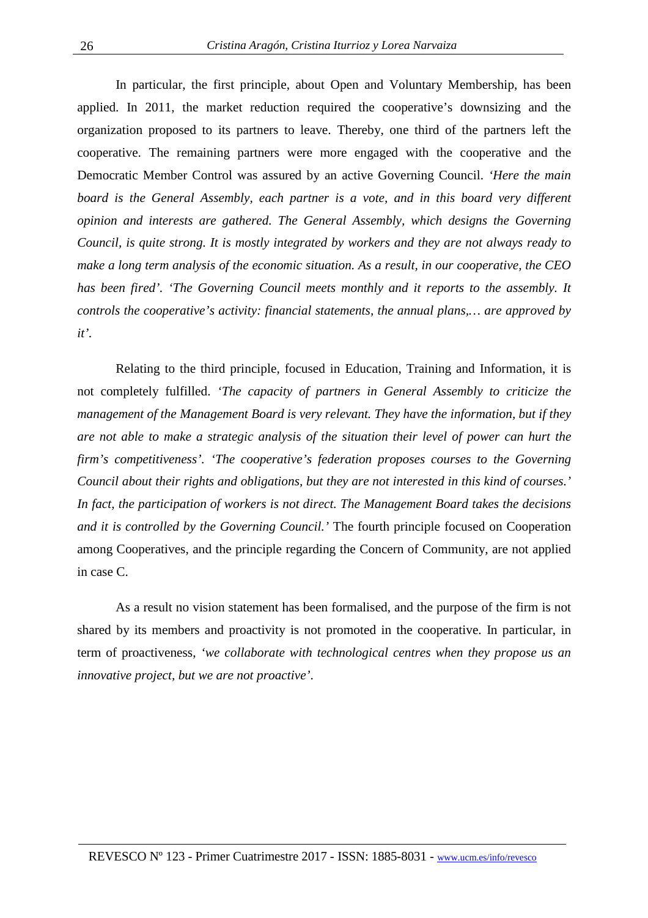In particular, the first principle, about Open and Voluntary Membership, has been applied. In 2011, the market reduction required the cooperative's downsizing and the organization proposed to its partners to leave. Thereby, one third of the partners left the cooperative. The remaining partners were more engaged with the cooperative and the Democratic Member Control was assured by an active Governing Council. *'Here the main board is the General Assembly, each partner is a vote, and in this board very different opinion and interests are gathered. The General Assembly, which designs the Governing Council, is quite strong. It is mostly integrated by workers and they are not always ready to make a long term analysis of the economic situation. As a result, in our cooperative, the CEO has been fired'. 'The Governing Council meets monthly and it reports to the assembly. It controls the cooperative's activity: financial statements, the annual plans,… are approved by it'.*

 Relating to the third principle, focused in Education, Training and Information, it is not completely fulfilled. *'The capacity of partners in General Assembly to criticize the management of the Management Board is very relevant. They have the information, but if they are not able to make a strategic analysis of the situation their level of power can hurt the firm's competitiveness'. 'The cooperative's federation proposes courses to the Governing Council about their rights and obligations, but they are not interested in this kind of courses.' In fact, the participation of workers is not direct. The Management Board takes the decisions and it is controlled by the Governing Council.'* The fourth principle focused on Cooperation among Cooperatives, and the principle regarding the Concern of Community, are not applied in case C.

 As a result no vision statement has been formalised, and the purpose of the firm is not shared by its members and proactivity is not promoted in the cooperative. In particular, in term of proactiveness, *'we collaborate with technological centres when they propose us an innovative project, but we are not proactive'*.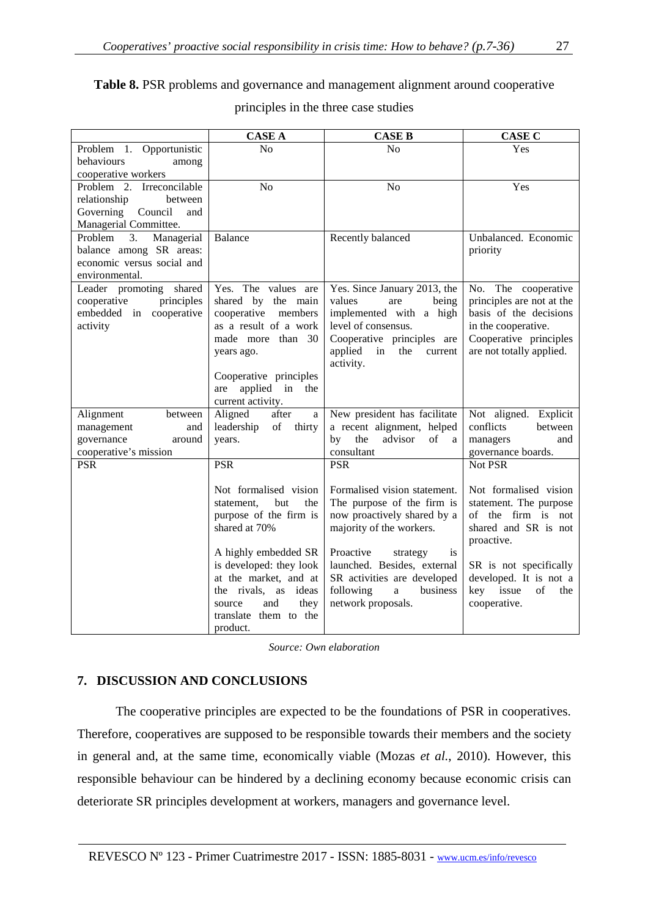# **Table 8.** PSR problems and governance and management alignment around cooperative

principles in the three case studies

|                             | <b>CASE A</b>                              | <b>CASE B</b>                           | <b>CASE C</b>             |
|-----------------------------|--------------------------------------------|-----------------------------------------|---------------------------|
| Problem 1. Opportunistic    | No                                         | No                                      | Yes                       |
| behaviours<br>among         |                                            |                                         |                           |
| cooperative workers         |                                            |                                         |                           |
| Problem 2. Irreconcilable   | N <sub>o</sub>                             | N <sub>o</sub>                          | Yes                       |
| relationship<br>between     |                                            |                                         |                           |
| Governing<br>Council<br>and |                                            |                                         |                           |
| Managerial Committee.       |                                            |                                         |                           |
| Problem<br>3.<br>Managerial | Balance                                    | Recently balanced                       | Unbalanced. Economic      |
| balance among SR areas:     |                                            |                                         | priority                  |
| economic versus social and  |                                            |                                         |                           |
| environmental.              |                                            |                                         |                           |
| Leader promoting shared     | Yes. The values are                        | Yes. Since January 2013, the            | No. The cooperative       |
| principles<br>cooperative   | shared by the main                         | values<br>being<br>are                  | principles are not at the |
| embedded in cooperative     | cooperative<br>members                     | implemented with a high                 | basis of the decisions    |
| activity                    | as a result of a work<br>made more than 30 | level of consensus.                     | in the cooperative.       |
|                             |                                            | Cooperative principles are<br>in        | Cooperative principles    |
|                             | years ago.                                 | applied<br>the<br>current<br>activity.  | are not totally applied.  |
|                             | Cooperative principles                     |                                         |                           |
|                             | applied in the<br>are                      |                                         |                           |
|                             | current activity.                          |                                         |                           |
| Alignment<br>between        | Aligned<br>after<br>a                      | New president has facilitate            | Not aligned.<br>Explicit  |
| management<br>and           | leadership<br>of<br>thirty                 | a recent alignment, helped              | conflicts<br>between      |
| governance<br>around        | years.                                     | by<br>the<br>advisor<br>$\sigma$ f<br>a | managers<br>and           |
| cooperative's mission       |                                            | consultant                              | governance boards.        |
| <b>PSR</b>                  | <b>PSR</b>                                 | <b>PSR</b>                              | Not PSR                   |
|                             | Not formalised vision                      | Formalised vision statement.            | Not formalised vision     |
|                             | statement.<br>but<br>the                   | The purpose of the firm is              | statement. The purpose    |
|                             | purpose of the firm is                     | now proactively shared by a             | of the firm is not        |
|                             | shared at 70%                              | majority of the workers.                | shared and SR is not      |
|                             |                                            |                                         | proactive.                |
|                             | A highly embedded SR                       | Proactive<br>strategy<br><i>is</i>      |                           |
|                             | is developed: they look                    | launched. Besides, external             | SR is not specifically    |
|                             | at the market, and at                      | SR activities are developed             | developed. It is not a    |
|                             | the rivals, as ideas                       | following<br>business<br>a              | key<br>issue<br>οf<br>the |
|                             | and<br>they<br>source                      | network proposals.                      | cooperative.              |
|                             | translate them to the                      |                                         |                           |
|                             | product.                                   |                                         |                           |

*Source: Own elaboration* 

# **7. DISCUSSION AND CONCLUSIONS**

 The cooperative principles are expected to be the foundations of PSR in cooperatives. Therefore, cooperatives are supposed to be responsible towards their members and the society in general and, at the same time, economically viable (Mozas *et al.*, 2010). However, this responsible behaviour can be hindered by a declining economy because economic crisis can deteriorate SR principles development at workers, managers and governance level.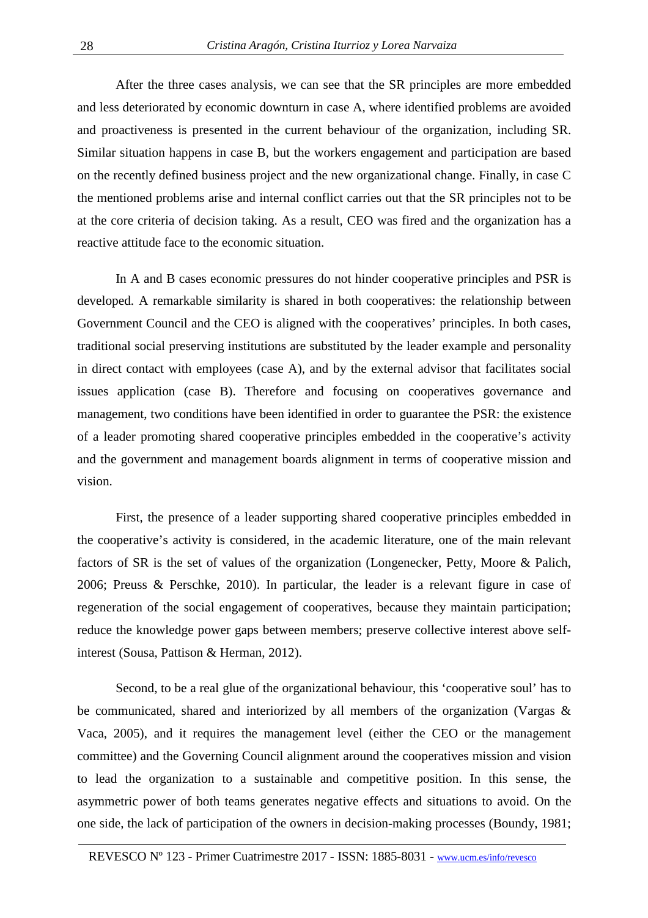After the three cases analysis, we can see that the SR principles are more embedded and less deteriorated by economic downturn in case A, where identified problems are avoided and proactiveness is presented in the current behaviour of the organization, including SR. Similar situation happens in case B, but the workers engagement and participation are based on the recently defined business project and the new organizational change. Finally, in case C the mentioned problems arise and internal conflict carries out that the SR principles not to be at the core criteria of decision taking. As a result, CEO was fired and the organization has a reactive attitude face to the economic situation.

 In A and B cases economic pressures do not hinder cooperative principles and PSR is developed. A remarkable similarity is shared in both cooperatives: the relationship between Government Council and the CEO is aligned with the cooperatives' principles. In both cases, traditional social preserving institutions are substituted by the leader example and personality in direct contact with employees (case A), and by the external advisor that facilitates social issues application (case B). Therefore and focusing on cooperatives governance and management, two conditions have been identified in order to guarantee the PSR: the existence of a leader promoting shared cooperative principles embedded in the cooperative's activity and the government and management boards alignment in terms of cooperative mission and vision.

 First, the presence of a leader supporting shared cooperative principles embedded in the cooperative's activity is considered, in the academic literature, one of the main relevant factors of SR is the set of values of the organization (Longenecker, Petty, Moore & Palich, 2006; Preuss & Perschke, 2010). In particular, the leader is a relevant figure in case of regeneration of the social engagement of cooperatives, because they maintain participation; reduce the knowledge power gaps between members; preserve collective interest above selfinterest (Sousa, Pattison & Herman, 2012).

 Second, to be a real glue of the organizational behaviour, this 'cooperative soul' has to be communicated, shared and interiorized by all members of the organization (Vargas & Vaca, 2005), and it requires the management level (either the CEO or the management committee) and the Governing Council alignment around the cooperatives mission and vision to lead the organization to a sustainable and competitive position. In this sense, the asymmetric power of both teams generates negative effects and situations to avoid. On the one side, the lack of participation of the owners in decision-making processes (Boundy, 1981;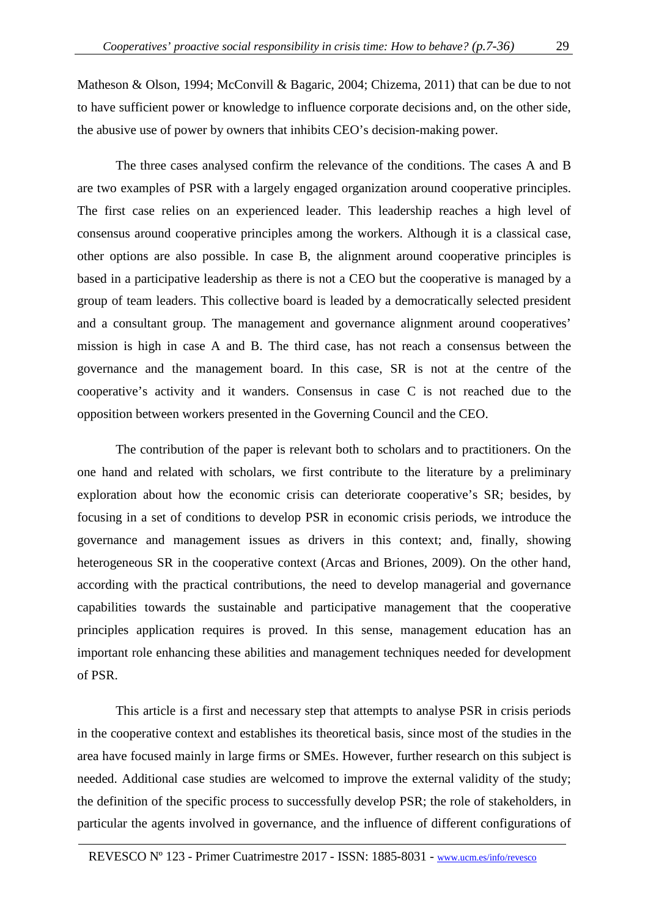Matheson & Olson, 1994; McConvill & Bagaric, 2004; Chizema, 2011) that can be due to not to have sufficient power or knowledge to influence corporate decisions and, on the other side, the abusive use of power by owners that inhibits CEO's decision-making power.

 The three cases analysed confirm the relevance of the conditions. The cases A and B are two examples of PSR with a largely engaged organization around cooperative principles. The first case relies on an experienced leader. This leadership reaches a high level of consensus around cooperative principles among the workers. Although it is a classical case, other options are also possible. In case B, the alignment around cooperative principles is based in a participative leadership as there is not a CEO but the cooperative is managed by a group of team leaders. This collective board is leaded by a democratically selected president and a consultant group. The management and governance alignment around cooperatives' mission is high in case A and B. The third case, has not reach a consensus between the governance and the management board. In this case, SR is not at the centre of the cooperative's activity and it wanders. Consensus in case C is not reached due to the opposition between workers presented in the Governing Council and the CEO.

 The contribution of the paper is relevant both to scholars and to practitioners. On the one hand and related with scholars, we first contribute to the literature by a preliminary exploration about how the economic crisis can deteriorate cooperative's SR; besides, by focusing in a set of conditions to develop PSR in economic crisis periods, we introduce the governance and management issues as drivers in this context; and, finally, showing heterogeneous SR in the cooperative context (Arcas and Briones, 2009). On the other hand, according with the practical contributions, the need to develop managerial and governance capabilities towards the sustainable and participative management that the cooperative principles application requires is proved. In this sense, management education has an important role enhancing these abilities and management techniques needed for development of PSR.

 This article is a first and necessary step that attempts to analyse PSR in crisis periods in the cooperative context and establishes its theoretical basis, since most of the studies in the area have focused mainly in large firms or SMEs. However, further research on this subject is needed. Additional case studies are welcomed to improve the external validity of the study; the definition of the specific process to successfully develop PSR; the role of stakeholders, in particular the agents involved in governance, and the influence of different configurations of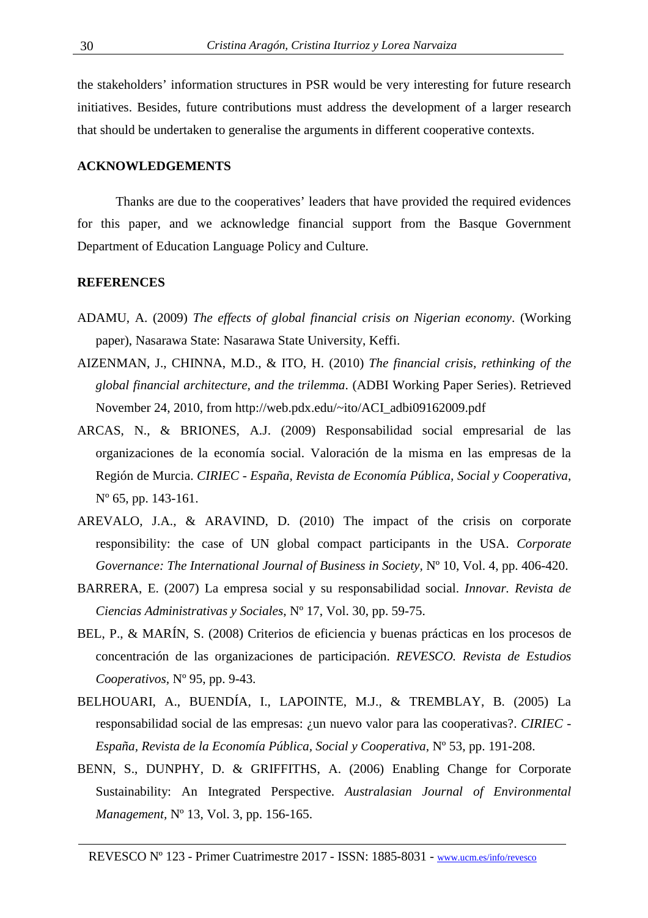the stakeholders' information structures in PSR would be very interesting for future research initiatives. Besides, future contributions must address the development of a larger research that should be undertaken to generalise the arguments in different cooperative contexts.

## **ACKNOWLEDGEMENTS**

 Thanks are due to the cooperatives' leaders that have provided the required evidences for this paper, and we acknowledge financial support from the Basque Government Department of Education Language Policy and Culture.

## **REFERENCES**

- ADAMU, A. (2009) *The effects of global financial crisis on Nigerian economy*. (Working paper), Nasarawa State: Nasarawa State University, Keffi.
- AIZENMAN, J., CHINNA, M.D., & ITO, H. (2010) *The financial crisis, rethinking of the global financial architecture, and the trilemma*. (ADBI Working Paper Series). Retrieved November 24, 2010, from http://web.pdx.edu/~ito/ACI\_adbi09162009.pdf
- ARCAS, N., & BRIONES, A.J. (2009) Responsabilidad social empresarial de las organizaciones de la economía social. Valoración de la misma en las empresas de la Región de Murcia. *CIRIEC - España, Revista de Economía Pública, Social y Cooperativa*, Nº 65, pp. 143-161.
- AREVALO, J.A., & ARAVIND, D. (2010) The impact of the crisis on corporate responsibility: the case of UN global compact participants in the USA. *Corporate Governance: The International Journal of Business in Society, N° 10, Vol. 4, pp. 406-420.*
- BARRERA, E. (2007) La empresa social y su responsabilidad social. *Innovar. Revista de Ciencias Administrativas y Sociales*, Nº 17, Vol. 30, pp. 59-75.
- BEL, P., & MARÍN, S. (2008) Criterios de eficiencia y buenas prácticas en los procesos de concentración de las organizaciones de participación. *REVESCO. Revista de Estudios Cooperativos,* Nº 95, pp. 9-43.
- BELHOUARI, A., BUENDÍA, I., LAPOINTE, M.J., & TREMBLAY, B. (2005) La responsabilidad social de las empresas: ¿un nuevo valor para las cooperativas?. *CIRIEC - España, Revista de la Economía Pública, Social y Cooperativa*, Nº 53, pp. 191-208.
- BENN, S., DUNPHY, D. & GRIFFITHS, A. (2006) Enabling Change for Corporate Sustainability: An Integrated Perspective. *Australasian Journal of Environmental Management,* Nº 13, Vol. 3, pp. 156-165.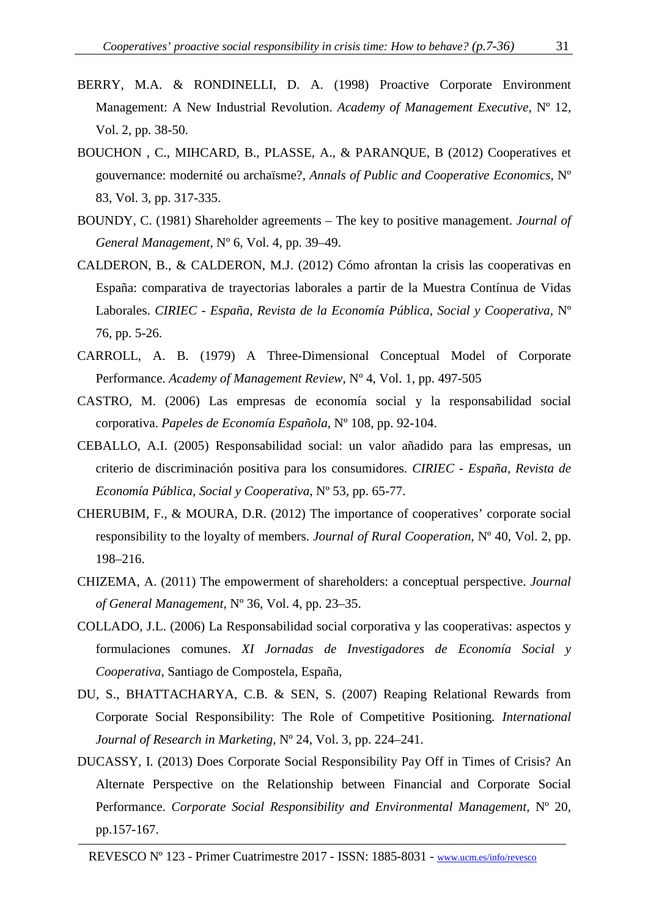- BERRY, M.A. & RONDINELLI, D. A. (1998) Proactive Corporate Environment Management: A New Industrial Revolution. *Academy of Management Executive,* Nº 12, Vol. 2, pp. 38-50.
- BOUCHON , C., MIHCARD, B., PLASSE, A., & PARANQUE, B (2012) Cooperatives et gouvernance: modernité ou archaïsme?, *Annals of Public and Cooperative Economics,* Nº 83, Vol. 3, pp. 317-335.
- BOUNDY, C. (1981) Shareholder agreements The key to positive management. *Journal of General Management,* Nº 6, Vol. 4, pp. 39–49.
- CALDERON, B., & CALDERON, M.J. (2012) Cómo afrontan la crisis las cooperativas en España: comparativa de trayectorias laborales a partir de la Muestra Contínua de Vidas Laborales. *CIRIEC - España, Revista de la Economía Pública, Social y Cooperativa,* Nº 76*,* pp. 5-26.
- CARROLL, A. B. (1979) A Three-Dimensional Conceptual Model of Corporate Performance. *Academy of Management Review,* Nº 4, Vol. 1, pp. 497-505
- CASTRO, M. (2006) Las empresas de economía social y la responsabilidad social corporativa. *Papeles de Economía Española,* Nº 108, pp. 92-104.
- CEBALLO, A.I. (2005) Responsabilidad social: un valor añadido para las empresas, un criterio de discriminación positiva para los consumidores. *CIRIEC - España, Revista de Economía Pública, Social y Cooperativa,* Nº 53, pp. 65-77.
- CHERUBIM, F., & MOURA, D.R. (2012) The importance of cooperatives' corporate social responsibility to the loyalty of members. *Journal of Rural Cooperation,* Nº 40, Vol. 2, pp. 198–216.
- CHIZEMA, A. (2011) The empowerment of shareholders: a conceptual perspective. *Journal of General Management,* Nº 36, Vol. 4, pp. 23–35.
- COLLADO, J.L. (2006) La Responsabilidad social corporativa y las cooperativas: aspectos y formulaciones comunes. *XI Jornadas de Investigadores de Economía Social y Cooperativa*, Santiago de Compostela, España,
- DU, S., BHATTACHARYA, C.B. & SEN, S. (2007) Reaping Relational Rewards from Corporate Social Responsibility: The Role of Competitive Positioning. *International Journal of Research in Marketing,* Nº 24, Vol. 3, pp. 224–241.
- DUCASSY, I. (2013) Does Corporate Social Responsibility Pay Off in Times of Crisis? An Alternate Perspective on the Relationship between Financial and Corporate Social Performance. *Corporate Social Responsibility and Environmental Management,* Nº 20, pp.157-167.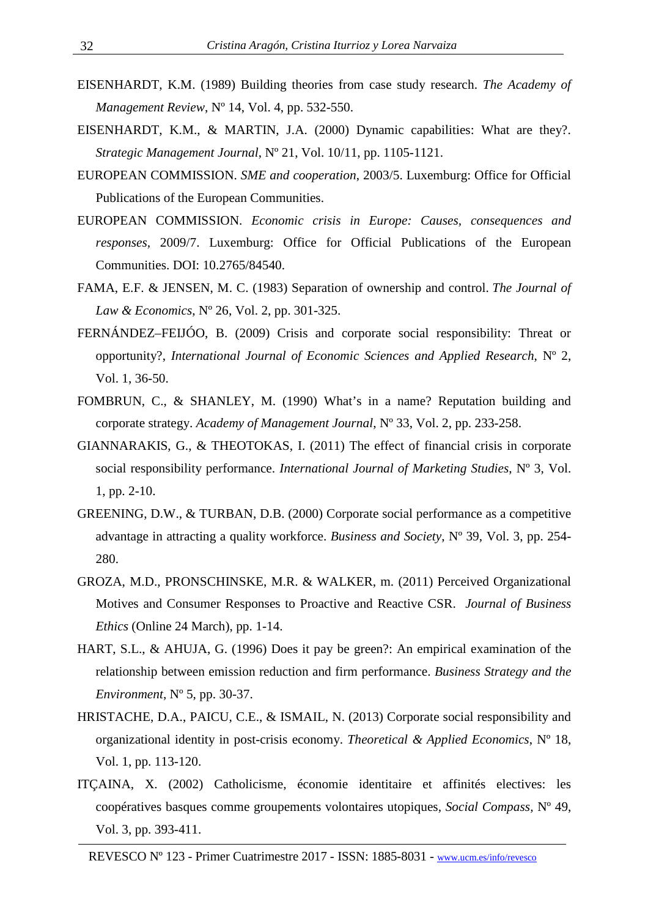- EISENHARDT, K.M. (1989) Building theories from case study research. *The Academy of Management Review*, Nº 14, Vol. 4, pp. 532-550.
- EISENHARDT, K.M., & MARTIN, J.A. (2000) Dynamic capabilities: What are they?. *Strategic Management Journal*, Nº 21, Vol. 10/11, pp. 1105-1121.
- EUROPEAN COMMISSION. *SME and cooperation*, 2003/5. Luxemburg: Office for Official Publications of the European Communities.
- EUROPEAN COMMISSION. *Economic crisis in Europe: Causes, consequences and responses,* 2009/7. Luxemburg: Office for Official Publications of the European Communities. DOI: 10.2765/84540.
- FAMA, E.F. & JENSEN, M. C. (1983) Separation of ownership and control. *The Journal of Law & Economics*, Nº 26, Vol. 2, pp. 301-325.
- FERNÁNDEZ–FEIJÓO, B. (2009) Crisis and corporate social responsibility: Threat or opportunity?, *International Journal of Economic Sciences and Applied Research*, Nº 2, Vol. 1, 36-50.
- FOMBRUN, C., & SHANLEY, M. (1990) What's in a name? Reputation building and corporate strategy. *Academy of Management Journal*, Nº 33, Vol. 2, pp. 233-258.
- GIANNARAKIS, G., & THEOTOKAS, I. (2011) The effect of financial crisis in corporate social responsibility performance. *International Journal of Marketing Studies*, Nº 3, Vol. 1, pp. 2-10.
- GREENING, D.W., & TURBAN, D.B. (2000) Corporate social performance as a competitive advantage in attracting a quality workforce. *Business and Society*, Nº 39, Vol. 3, pp. 254- 280.
- GROZA, M.D., PRONSCHINSKE, M.R. & WALKER, m. (2011) Perceived Organizational Motives and Consumer Responses to Proactive and Reactive CSR. *Journal of Business Ethics* (Online 24 March), pp. 1-14.
- HART, S.L., & AHUJA, G. (1996) Does it pay be green?: An empirical examination of the relationship between emission reduction and firm performance. *Business Strategy and the Environment*, Nº 5, pp. 30-37.
- HRISTACHE, D.A., PAICU, C.E., & ISMAIL, N. (2013) Corporate social responsibility and organizational identity in post-crisis economy. *Theoretical & Applied Economics*, Nº 18, Vol. 1, pp. 113-120.
- ITÇAINA, X. (2002) Catholicisme, économie identitaire et affinités electives: les coopératives basques comme groupements volontaires utopiques*, Social Compass,* Nº 49, Vol. 3, pp. 393-411.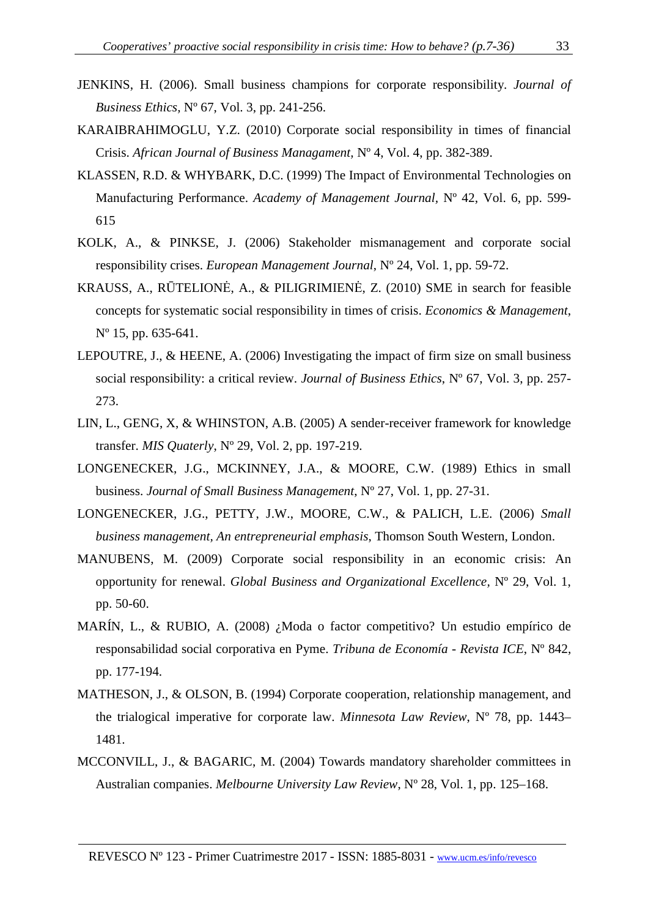- JENKINS, H. (2006). Small business champions for corporate responsibility. *Journal of Business Ethics,* Nº 67, Vol. 3, pp. 241-256.
- KARAIBRAHIMOGLU, Y.Z. (2010) Corporate social responsibility in times of financial Crisis. *African Journal of Business Managament,* Nº 4, Vol. 4, pp. 382-389.
- KLASSEN, R.D. & WHYBARK, D.C. (1999) The Impact of Environmental Technologies on Manufacturing Performance. *Academy of Management Journal,* Nº 42, Vol. 6, pp. 599- 615
- KOLK, A., & PINKSE, J. (2006) Stakeholder mismanagement and corporate social responsibility crises. *European Management Journal*, Nº 24, Vol. 1, pp. 59-72.
- KRAUSS, A., RŪTELIONĖ, A., & PILIGRIMIENĖ, Z. (2010) SME in search for feasible concepts for systematic social responsibility in times of crisis. *Economics & Management*, Nº 15, pp. 635-641.
- LEPOUTRE, J., & HEENE, A. (2006) Investigating the impact of firm size on small business social responsibility: a critical review. *Journal of Business Ethics*, Nº 67, Vol. 3, pp. 257- 273.
- LIN, L., GENG, X, & WHINSTON, A.B. (2005) A sender-receiver framework for knowledge transfer. *MIS Quaterly*, Nº 29, Vol. 2, pp. 197-219.
- LONGENECKER, J.G., MCKINNEY, J.A., & MOORE, C.W. (1989) Ethics in small business. *Journal of Small Business Management*, Nº 27, Vol. 1, pp. 27-31.
- LONGENECKER, J.G., PETTY, J.W., MOORE, C.W., & PALICH, L.E. (2006) *Small business management, An entrepreneurial emphasis*, Thomson South Western, London.
- MANUBENS, M. (2009) Corporate social responsibility in an economic crisis: An opportunity for renewal. *Global Business and Organizational Excellence,* Nº 29, Vol. 1, pp. 50-60.
- MARÍN, L., & RUBIO, A. (2008) ¿Moda o factor competitivo? Un estudio empírico de responsabilidad social corporativa en Pyme. *Tribuna de Economía - Revista ICE*, Nº 842, pp. 177-194.
- MATHESON, J., & OLSON, B. (1994) Corporate cooperation, relationship management, and the trialogical imperative for corporate law. *Minnesota Law Review*, Nº 78, pp. 1443– 1481.
- MCCONVILL, J., & BAGARIC, M. (2004) Towards mandatory shareholder committees in Australian companies. *Melbourne University Law Review*, Nº 28, Vol. 1, pp. 125–168.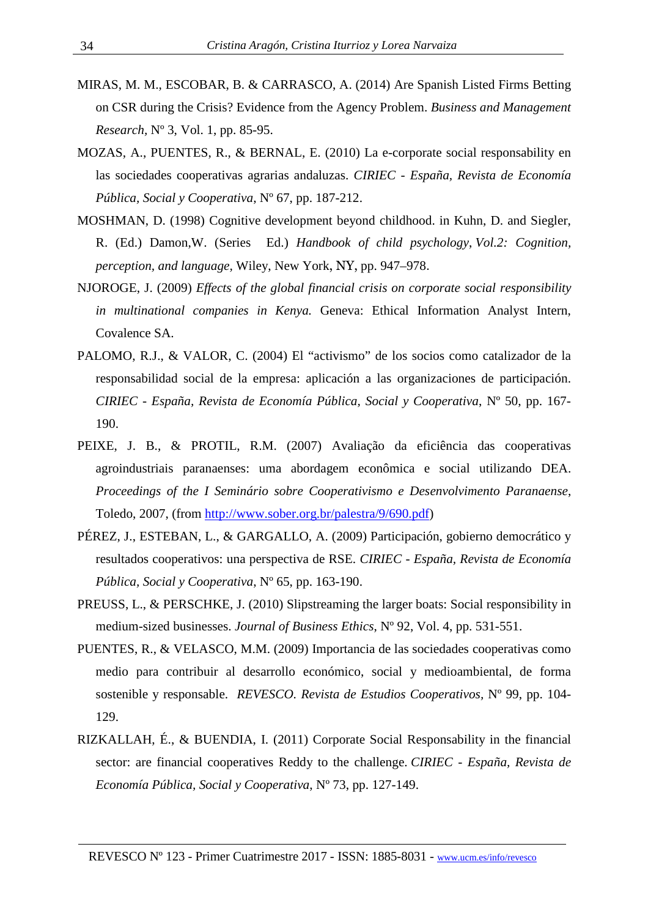- MIRAS, M. M., ESCOBAR, B. & CARRASCO, A. (2014) Are Spanish Listed Firms Betting on CSR during the Crisis? Evidence from the Agency Problem. *Business and Management Research,* Nº 3, Vol. 1, pp. 85-95.
- MOZAS, A., PUENTES, R., & BERNAL, E. (2010) La e-corporate social responsability en las sociedades cooperativas agrarias andaluzas. *CIRIEC - España, Revista de Economía Pública, Social y Cooperativa*, Nº 67, pp. 187-212.
- MOSHMAN, D. (1998) Cognitive development beyond childhood. in Kuhn, D. and Siegler, R. (Ed.) Damon,W. (Series Ed.) *Handbook of child psychology*, *Vol.2: Cognition, perception, and language,* Wiley, New York, NY, pp. 947–978.
- NJOROGE, J. (2009) *Effects of the global financial crisis on corporate social responsibility in multinational companies in Kenya.* Geneva: Ethical Information Analyst Intern, Covalence SA.
- PALOMO, R.J., & VALOR, C. (2004) El "activismo" de los socios como catalizador de la responsabilidad social de la empresa: aplicación a las organizaciones de participación. *CIRIEC - España, Revista de Economía Pública, Social y Cooperativa*, Nº 50, pp. 167- 190.
- PEIXE, J. B., & PROTIL, R.M. (2007) Avaliação da eficiência das cooperativas agroindustriais paranaenses: uma abordagem econômica e social utilizando DEA. *Proceedings of the I Seminário sobre Cooperativismo e Desenvolvimento Paranaense*, Toledo, 2007, (from http://www.sober.org.br/palestra/9/690.pdf)
- PÉREZ, J., ESTEBAN, L., & GARGALLO, A. (2009) Participación, gobierno democrático y resultados cooperativos: una perspectiva de RSE. *CIRIEC - España, Revista de Economía Pública, Social y Cooperativa*, Nº 65, pp. 163-190.
- PREUSS, L., & PERSCHKE, J. (2010) Slipstreaming the larger boats: Social responsibility in medium-sized businesses. *Journal of Business Ethics*, Nº 92, Vol. 4, pp. 531-551.
- PUENTES, R., & VELASCO, M.M. (2009) Importancia de las sociedades cooperativas como medio para contribuir al desarrollo económico, social y medioambiental, de forma sostenible y responsable. *REVESCO. Revista de Estudios Cooperativos,* Nº 99, pp. 104- 129.
- RIZKALLAH, É., & BUENDIA, I. (2011) Corporate Social Responsability in the financial sector: are financial cooperatives Reddy to the challenge. *CIRIEC - España, Revista de Economía Pública, Social y Cooperativa*, Nº 73, pp. 127-149.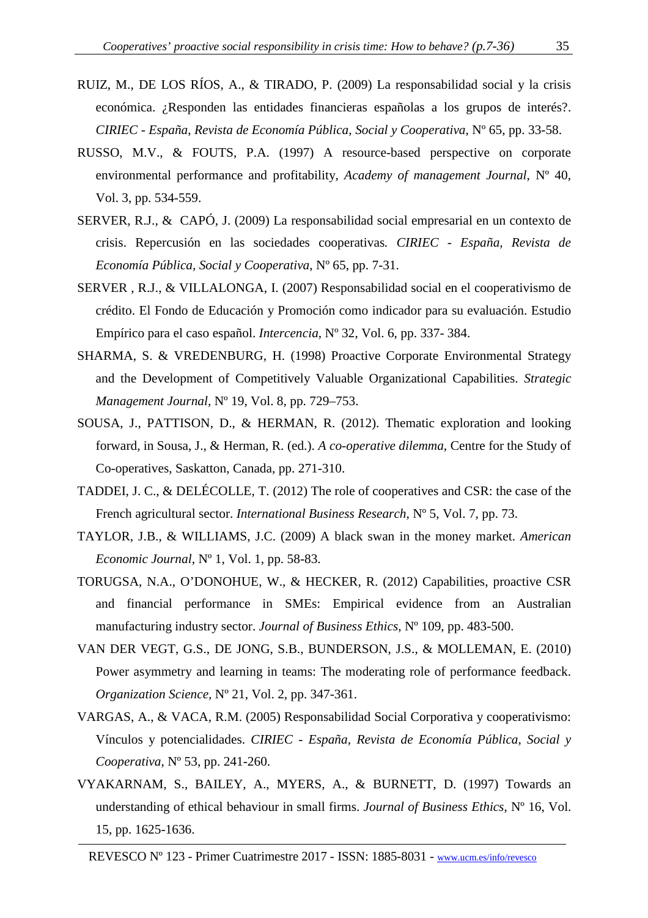- RUIZ, M., DE LOS RÍOS, A., & TIRADO, P. (2009) La responsabilidad social y la crisis económica. ¿Responden las entidades financieras españolas a los grupos de interés?. *CIRIEC - España, Revista de Economía Pública, Social y Cooperativa*, Nº 65, pp. 33-58.
- RUSSO, M.V., & FOUTS, P.A. (1997) A resource-based perspective on corporate environmental performance and profitability, *Academy of management Journal*, Nº 40, Vol. 3, pp. 534-559.
- SERVER, R.J., & CAPÓ, J. (2009) La responsabilidad social empresarial en un contexto de crisis. Repercusión en las sociedades cooperativas*. CIRIEC - España, Revista de Economía Pública, Social y Cooperativa*, Nº 65, pp. 7-31.
- SERVER , R.J., & VILLALONGA, I. (2007) Responsabilidad social en el cooperativismo de crédito. El Fondo de Educación y Promoción como indicador para su evaluación. Estudio Empírico para el caso español. *Intercencia,* Nº 32, Vol. 6, pp. 337- 384.
- SHARMA, S. & VREDENBURG, H. (1998) Proactive Corporate Environmental Strategy and the Development of Competitively Valuable Organizational Capabilities. *Strategic Management Journal,* Nº 19, Vol. 8, pp. 729–753.
- SOUSA, J., PATTISON, D., & HERMAN, R. (2012). Thematic exploration and looking forward, in Sousa, J., & Herman, R. (ed.). *A co-operative dilemma*, Centre for the Study of Co-operatives, Saskatton, Canada, pp. 271-310.
- TADDEI, J. C., & DELÉCOLLE, T. (2012) The role of cooperatives and CSR: the case of the French agricultural sector. *International Business Research*, Nº 5, Vol. 7, pp. 73.
- TAYLOR, J.B., & WILLIAMS, J.C. (2009) A black swan in the money market. *American Economic Journal*, Nº 1, Vol. 1, pp. 58-83.
- TORUGSA, N.A., O'DONOHUE, W., & HECKER, R. (2012) Capabilities, proactive CSR and financial performance in SMEs: Empirical evidence from an Australian manufacturing industry sector. *Journal of Business Ethics*, Nº 109, pp. 483-500.
- VAN DER VEGT, G.S., DE JONG, S.B., BUNDERSON, J.S., & MOLLEMAN, E. (2010) Power asymmetry and learning in teams: The moderating role of performance feedback. *Organization Science,* Nº 21, Vol. 2, pp. 347-361.
- VARGAS, A., & VACA, R.M. (2005) Responsabilidad Social Corporativa y cooperativismo: Vínculos y potencialidades. *CIRIEC - España, Revista de Economía Pública, Social y Cooperativa*, Nº 53, pp. 241-260.
- VYAKARNAM, S., BAILEY, A., MYERS, A., & BURNETT, D. (1997) Towards an understanding of ethical behaviour in small firms. *Journal of Business Ethics*, Nº 16, Vol. 15, pp. 1625-1636.